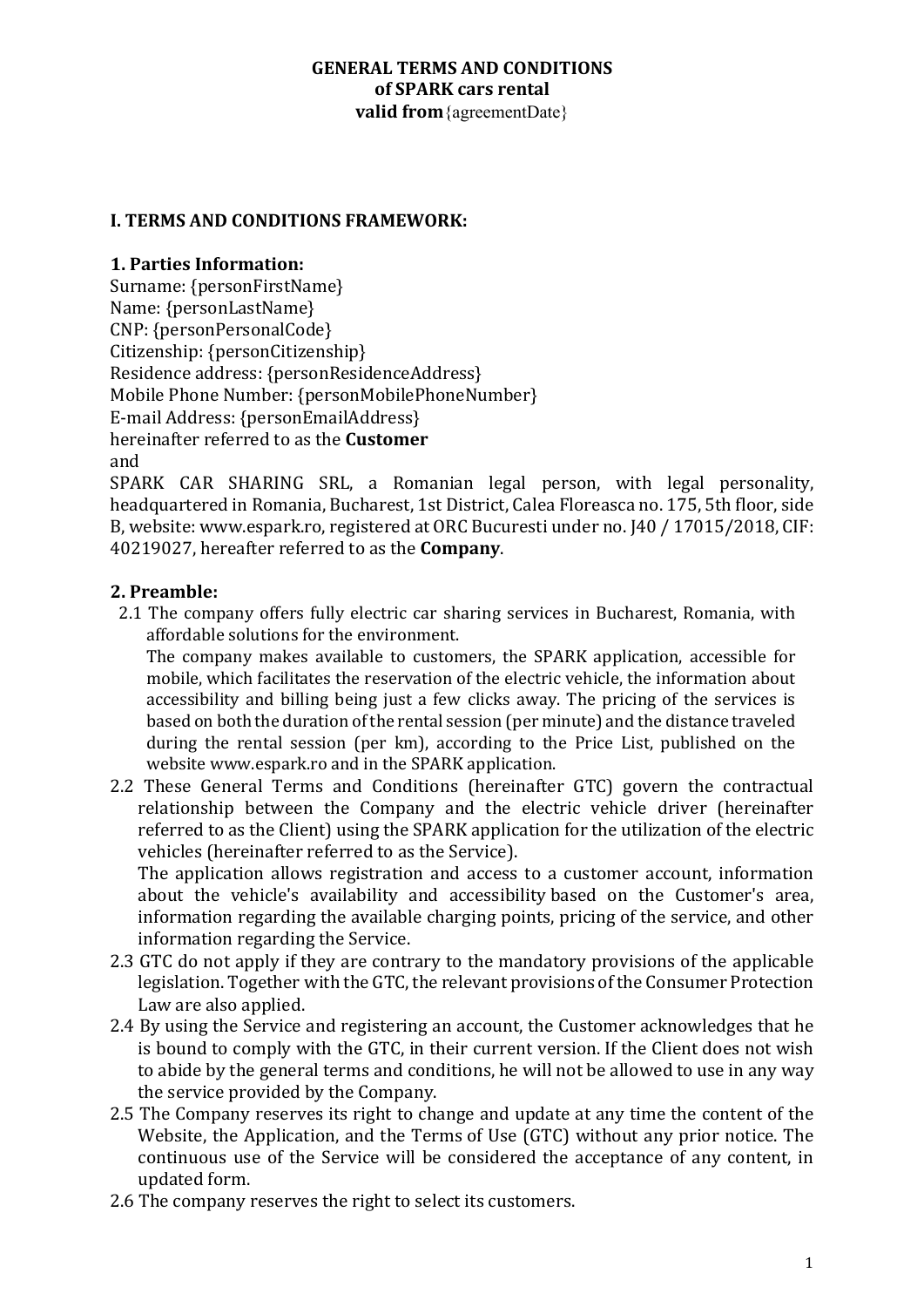#### **GENERAL TERMS AND CONDITIONS of SPARK cars rental valid from** {agreementDate}

### **I. TERMS AND CONDITIONS FRAMEWORK:**

### **1. Parties Information:**

Surname: {personFirstName} Name: {personLastName} CNP: {personPersonalCode} Citizenship: {personCitizenship} Residence address: {personResidenceAddress} Mobile Phone Number: {personMobilePhoneNumber} E-mail Address: {personEmailAddress} hereinafter referred to as the **Customer** and

SPARK CAR SHARING SRL, a Romanian legal person, with legal personality, headquartered in Romania, Bucharest, 1st District, Calea Floreasca no. 175, 5th floor, side B, website: www.espark.ro, registered at ORC Bucuresti under no. [40 / 17015/2018, CIF: 40219027, hereafter referred to as the **Company**.

#### **2. Preamble:**

2.1 The company offers fully electric car sharing services in Bucharest, Romania, with affordable solutions for the environment.

The company makes available to customers, the SPARK application, accessible for mobile, which facilitates the reservation of the electric vehicle, the information about accessibility and billing being just a few clicks away. The pricing of the services is based on both the duration of the rental session (per minute) and the distance traveled during the rental session (per km), according to the Price List, published on the website www.espark.ro and in the SPARK application.

2.2 These General Terms and Conditions (hereinafter GTC) govern the contractual relationship between the Company and the electric vehicle driver (hereinafter referred to as the Client) using the SPARK application for the utilization of the electric vehicles (hereinafter referred to as the Service).

The application allows registration and access to a customer account, information about the vehicle's availability and accessibility based on the Customer's area, information regarding the available charging points, pricing of the service, and other information regarding the Service.

- 2.3 GTC do not apply if they are contrary to the mandatory provisions of the applicable legislation. Together with the GTC, the relevant provisions of the Consumer Protection Law are also applied.
- 2.4 By using the Service and registering an account, the Customer acknowledges that he is bound to comply with the GTC, in their current version. If the Client does not wish to abide by the general terms and conditions, he will not be allowed to use in any way the service provided by the Company.
- 2.5 The Company reserves its right to change and update at any time the content of the Website, the Application, and the Terms of Use (GTC) without any prior notice. The continuous use of the Service will be considered the acceptance of any content, in updated form.
- 2.6 The company reserves the right to select its customers.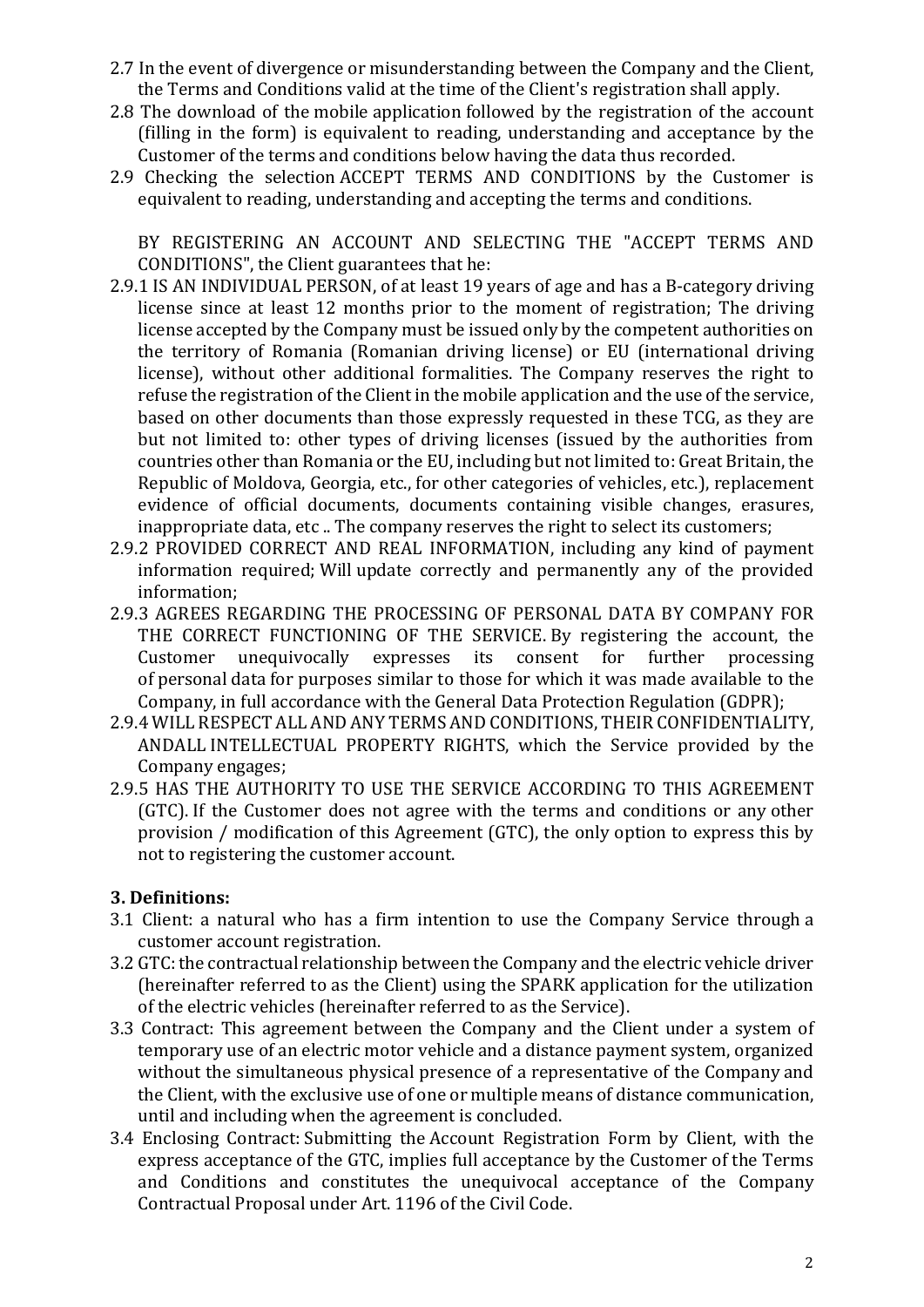- 2.7 In the event of divergence or misunderstanding between the Company and the Client, the Terms and Conditions valid at the time of the Client's registration shall apply.
- 2.8 The download of the mobile application followed by the registration of the account (filling in the form) is equivalent to reading, understanding and acceptance by the Customer of the terms and conditions below having the data thus recorded.
- 2.9 Checking the selection ACCEPT TERMS AND CONDITIONS by the Customer is equivalent to reading, understanding and accepting the terms and conditions.

BY REGISTERING AN ACCOUNT AND SELECTING THE "ACCEPT TERMS AND CONDITIONS", the Client guarantees that he:

- 2.9.1 IS AN INDIVIDUAL PERSON, of at least 19 years of age and has a B-category driving license since at least 12 months prior to the moment of registration; The driving license accepted by the Company must be issued only by the competent authorities on the territory of Romania (Romanian driving license) or EU (international driving license), without other additional formalities. The Company reserves the right to refuse the registration of the Client in the mobile application and the use of the service, based on other documents than those expressly requested in these TCG, as they are but not limited to: other types of driving licenses (issued by the authorities from countries other than Romania or the EU, including but not limited to: Great Britain, the Republic of Moldova, Georgia, etc., for other categories of vehicles, etc.), replacement evidence of official documents, documents containing visible changes, erasures, inappropriate data, etc .. The company reserves the right to select its customers;
- 2.9.2 PROVIDED CORRECT AND REAL INFORMATION, including any kind of payment information required: Will update correctly and permanently any of the provided information;
- 2.9.3 AGREES REGARDING THE PROCESSING OF PERSONAL DATA BY COMPANY FOR THE CORRECT FUNCTIONING OF THE SERVICE By registering the account, the Customer unequivocally expresses its consent for further processing of personal data for purposes similar to those for which it was made available to the Company, in full accordance with the General Data Protection Regulation (GDPR);
- 2.9.4 WILL RESPECT ALL AND ANY TERMS AND CONDITIONS, THEIR CONFIDENTIALITY, ANDALL INTELLECTUAL PROPERTY RIGHTS, which the Service provided by the Company engages;
- 2.9.5 HAS THE AUTHORITY TO USE THE SERVICE ACCORDING TO THIS AGREEMENT (GTC). If the Customer does not agree with the terms and conditions or any other provision  $/$  modification of this Agreement  $(GTC)$ , the only option to express this by not to registering the customer account.

### **3. Definitions:**

- 3.1 Client: a natural who has a firm intention to use the Company Service through a customer account registration.
- 3.2 GTC: the contractual relationship between the Company and the electric vehicle driver (hereinafter referred to as the Client) using the SPARK application for the utilization of the electric vehicles (hereinafter referred to as the Service).
- 3.3 Contract: This agreement between the Company and the Client under a system of temporary use of an electric motor vehicle and a distance payment system, organized without the simultaneous physical presence of a representative of the Company and the Client, with the exclusive use of one or multiple means of distance communication, until and including when the agreement is concluded.
- 3.4 Enclosing Contract: Submitting the Account Registration Form by Client, with the express acceptance of the GTC, implies full acceptance by the Customer of the Terms and Conditions and constitutes the unequivocal acceptance of the Company Contractual Proposal under Art. 1196 of the Civil Code.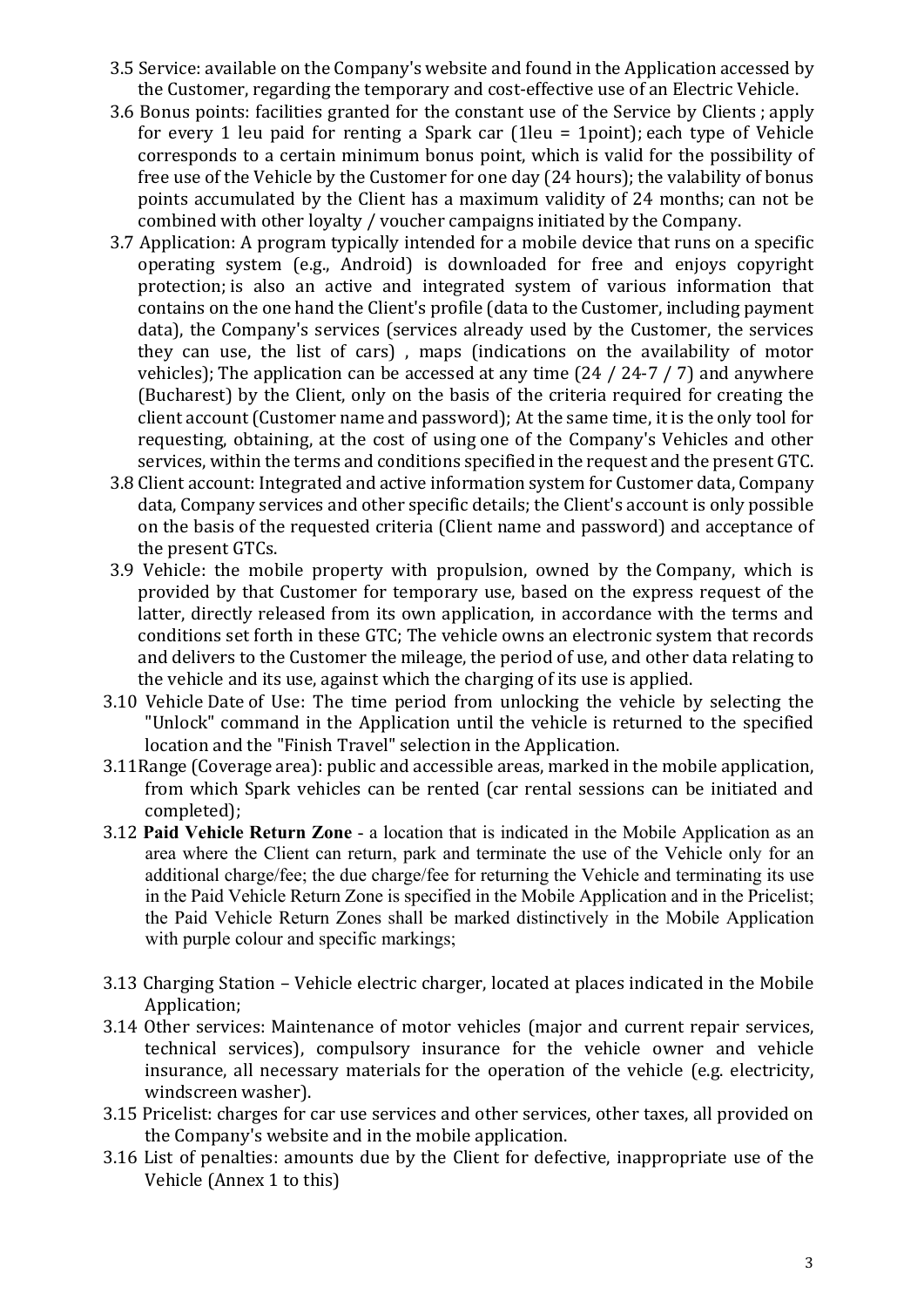- 3.5 Service: available on the Company's website and found in the Application accessed by the Customer, regarding the temporary and cost-effective use of an Electric Vehicle.
- 3.6 Bonus points: facilities granted for the constant use of the Service by Clients ; apply for every 1 leu paid for renting a Spark car  $(1)$ leu = 1point); each type of Vehicle corresponds to a certain minimum bonus point, which is valid for the possibility of free use of the Vehicle by the Customer for one day (24 hours); the valability of bonus points accumulated by the Client has a maximum validity of 24 months; can not be combined with other loyalty / voucher campaigns initiated by the Company.
- 3.7 Application: A program typically intended for a mobile device that runs on a specific operating system (e.g., Android) is downloaded for free and enjoys copyright protection; is also an active and integrated system of various information that contains on the one hand the Client's profile (data to the Customer, including payment data), the Company's services (services already used by the Customer, the services they can use, the list of cars), maps (indications on the availability of motor vehicles); The application can be accessed at any time  $(24 / 24-7 / 7)$  and anywhere (Bucharest) by the Client, only on the basis of the criteria required for creating the client account (Customer name and password); At the same time, it is the only tool for requesting, obtaining, at the cost of using one of the Company's Vehicles and other services, within the terms and conditions specified in the request and the present GTC.
- 3.8 Client account: Integrated and active information system for Customer data, Company data, Company services and other specific details; the Client's account is only possible on the basis of the requested criteria (Client name and password) and acceptance of the present GTCs.
- 3.9 Vehicle: the mobile property with propulsion, owned by the Company, which is provided by that Customer for temporary use, based on the express request of the latter, directly released from its own application, in accordance with the terms and conditions set forth in these GTC; The vehicle owns an electronic system that records and delivers to the Customer the mileage, the period of use, and other data relating to the vehicle and its use, against which the charging of its use is applied.
- 3.10 Vehicle Date of Use: The time period from unlocking the vehicle by selecting the "Unlock" command in the Application until the vehicle is returned to the specified location and the "Finish Travel" selection in the Application.
- 3.11 Range (Coverage area): public and accessible areas, marked in the mobile application, from which Spark vehicles can be rented (car rental sessions can be initiated and completed);
- 3.12 **Paid Vehicle Return Zone** a location that is indicated in the Mobile Application as an area where the Client can return, park and terminate the use of the Vehicle only for an additional charge/fee; the due charge/fee for returning the Vehicle and terminating its use in the Paid Vehicle Return Zone is specified in the Mobile Application and in the Pricelist; the Paid Vehicle Return Zones shall be marked distinctively in the Mobile Application with purple colour and specific markings;
- 3.13 Charging Station Vehicle electric charger, located at places indicated in the Mobile Application;
- 3.14 Other services: Maintenance of motor vehicles (major and current repair services, technical services), compulsory insurance for the vehicle owner and vehicle insurance, all necessary materials for the operation of the vehicle (e.g. electricity, windscreen washer).
- 3.15 Pricelist: charges for car use services and other services, other taxes, all provided on the Company's website and in the mobile application.
- 3.16 List of penalties: amounts due by the Client for defective, inappropriate use of the Vehicle (Annex 1 to this)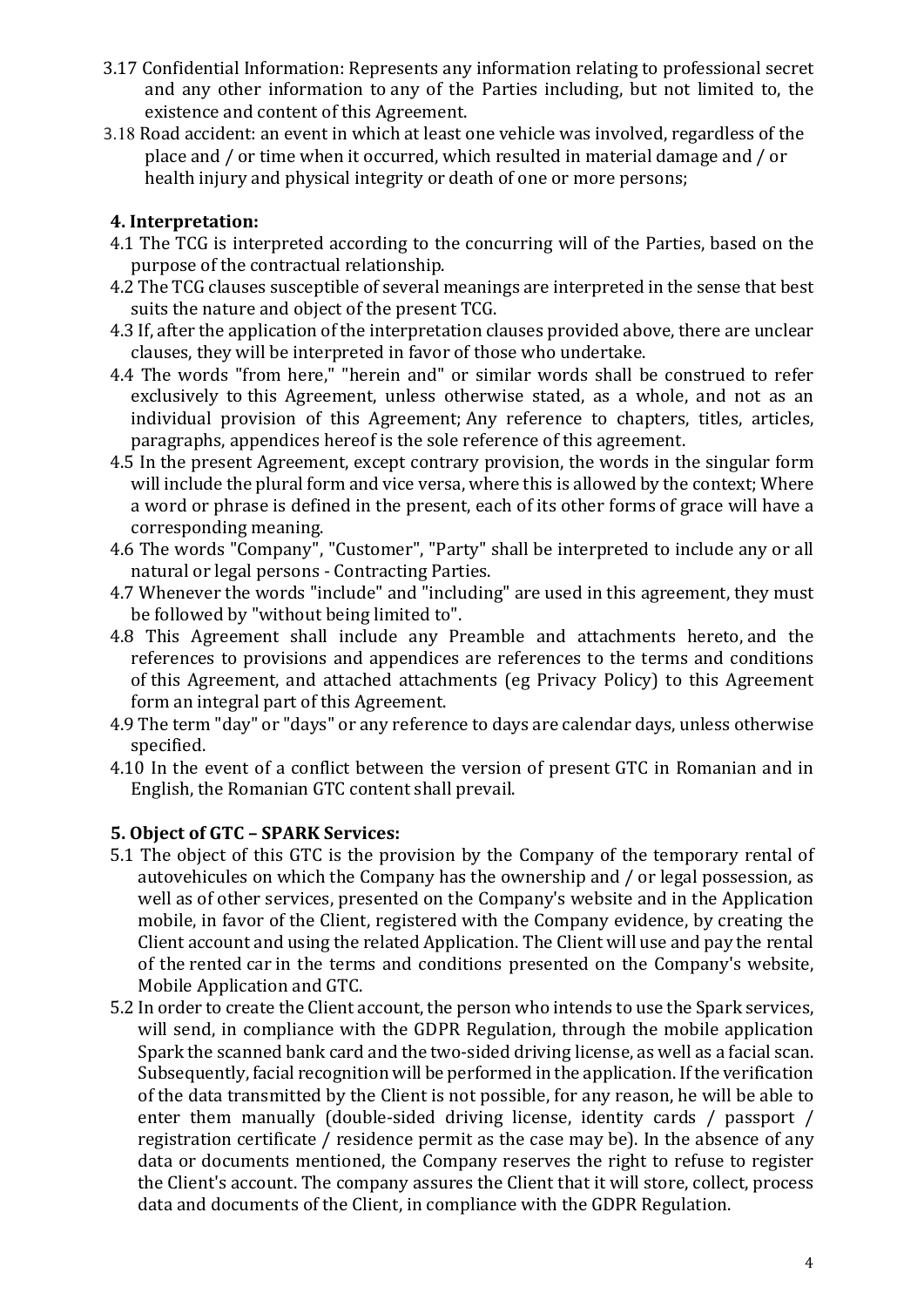- 3.17 Confidential Information: Represents any information relating to professional secret and any other information to any of the Parties including, but not limited to, the existence and content of this Agreement.
- 3.18 Road accident: an event in which at least one vehicle was involved, regardless of the place and / or time when it occurred, which resulted in material damage and / or health injury and physical integrity or death of one or more persons;

## **4. Interpretation:**

- 4.1 The TCG is interpreted according to the concurring will of the Parties, based on the purpose of the contractual relationship.
- 4.2 The TCG clauses susceptible of several meanings are interpreted in the sense that best suits the nature and object of the present TCG.
- 4.3 If, after the application of the interpretation clauses provided above, there are unclear clauses, they will be interpreted in favor of those who undertake.
- 4.4 The words "from here," "herein and" or similar words shall be construed to refer exclusively to this Agreement, unless otherwise stated, as a whole, and not as an individual provision of this Agreement; Any reference to chapters, titles, articles, paragraphs, appendices hereof is the sole reference of this agreement.
- 4.5 In the present Agreement, except contrary provision, the words in the singular form will include the plural form and vice versa, where this is allowed by the context; Where a word or phrase is defined in the present, each of its other forms of grace will have a corresponding meaning.
- 4.6 The words "Company", "Customer", "Party" shall be interpreted to include any or all natural or legal persons - Contracting Parties.
- 4.7 Whenever the words "include" and "including" are used in this agreement, they must be followed by "without being limited to".
- 4.8 This Agreement shall include any Preamble and attachments hereto, and the references to provisions and appendices are references to the terms and conditions of this Agreement, and attached attachments (eg Privacy Policy) to this Agreement form an integral part of this Agreement.
- 4.9 The term "day" or "days" or any reference to days are calendar days, unless otherwise specified.
- 4.10 In the event of a conflict between the version of present GTC in Romanian and in English, the Romanian GTC content shall prevail.

### **5. Object of GTC – SPARK Services:**

- 5.1 The object of this GTC is the provision by the Company of the temporary rental of autovehicules on which the Company has the ownership and / or legal possession, as well as of other services, presented on the Company's website and in the Application mobile, in favor of the Client, registered with the Company evidence, by creating the Client account and using the related Application. The Client will use and pay the rental of the rented car in the terms and conditions presented on the Company's website, Mobile Application and GTC.
- 5.2 In order to create the Client account, the person who intends to use the Spark services, will send, in compliance with the GDPR Regulation, through the mobile application Spark the scanned bank card and the two-sided driving license, as well as a facial scan. Subsequently, facial recognition will be performed in the application. If the verification of the data transmitted by the Client is not possible, for any reason, he will be able to enter them manually (double-sided driving license, identity cards / passport / registration certificate / residence permit as the case may be). In the absence of any data or documents mentioned, the Company reserves the right to refuse to register the Client's account. The company assures the Client that it will store, collect, process data and documents of the Client, in compliance with the GDPR Regulation.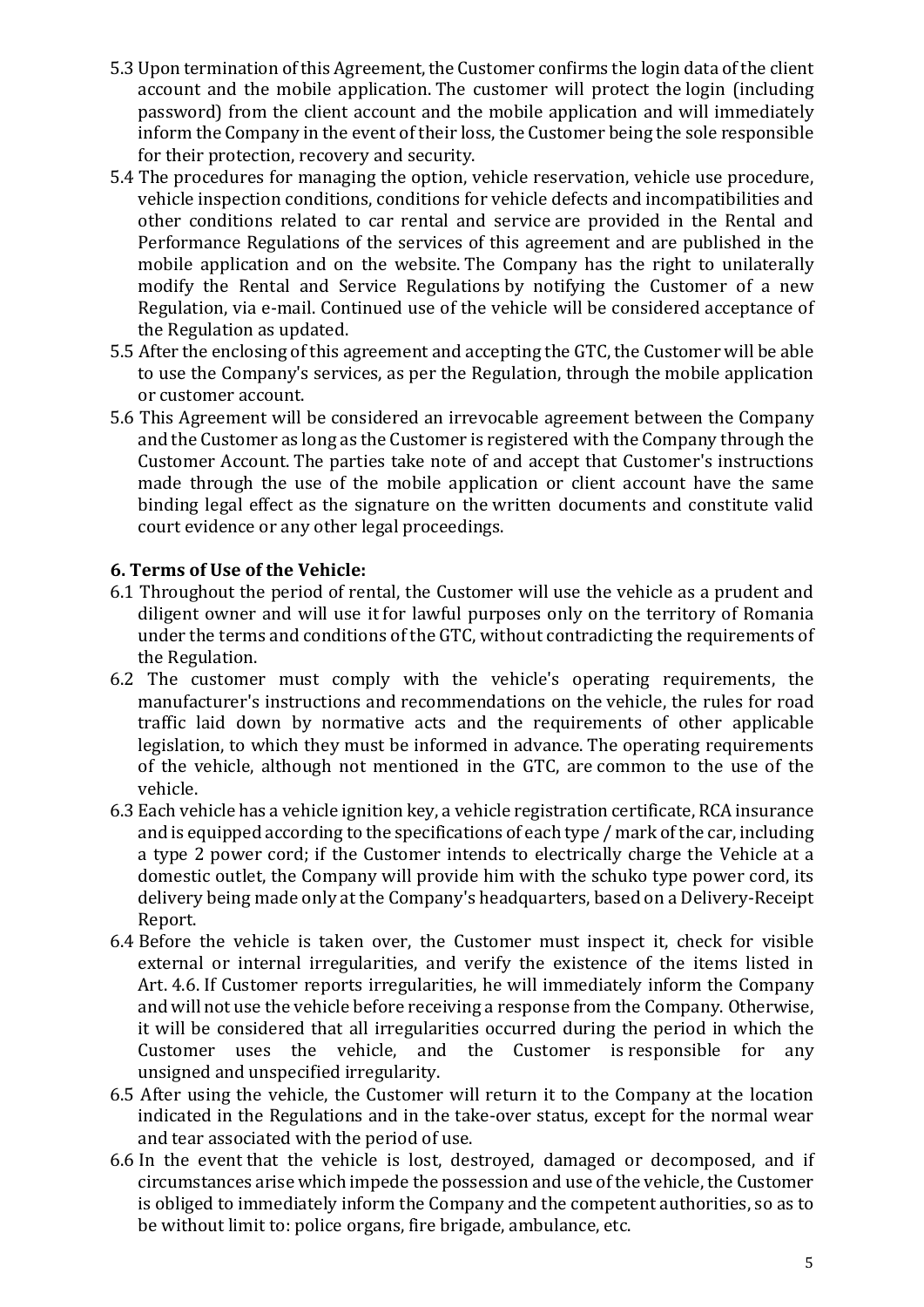- 5.3 Upon termination of this Agreement, the Customer confirms the login data of the client account and the mobile application. The customer will protect the login (including password) from the client account and the mobile application and will immediately inform the Company in the event of their loss, the Customer being the sole responsible for their protection, recovery and security.
- 5.4 The procedures for managing the option, vehicle reservation, vehicle use procedure, vehicle inspection conditions, conditions for vehicle defects and incompatibilities and other conditions related to car rental and service are provided in the Rental and Performance Regulations of the services of this agreement and are published in the mobile application and on the website. The Company has the right to unilaterally modify the Rental and Service Regulations by notifying the Customer of a new Regulation, via e-mail. Continued use of the vehicle will be considered acceptance of the Regulation as updated.
- 5.5 After the enclosing of this agreement and accepting the GTC, the Customer will be able to use the Company's services, as per the Regulation, through the mobile application or customer account.
- 5.6 This Agreement will be considered an irrevocable agreement between the Company and the Customer as long as the Customer is registered with the Company through the Customer Account. The parties take note of and accept that Customer's instructions made through the use of the mobile application or client account have the same binding legal effect as the signature on the written documents and constitute valid court evidence or any other legal proceedings.

### **6. Terms of Use of the Vehicle:**

- 6.1 Throughout the period of rental, the Customer will use the vehicle as a prudent and diligent owner and will use it for lawful purposes only on the territory of Romania under the terms and conditions of the GTC, without contradicting the requirements of the Regulation.
- 6.2 The customer must comply with the vehicle's operating requirements, the manufacturer's instructions and recommendations on the vehicle, the rules for road traffic laid down by normative acts and the requirements of other applicable legislation, to which they must be informed in advance. The operating requirements of the vehicle, although not mentioned in the GTC, are common to the use of the vehicle.
- 6.3 Each vehicle has a vehicle ignition key, a vehicle registration certificate, RCA insurance and is equipped according to the specifications of each type / mark of the car, including a type 2 power cord; if the Customer intends to electrically charge the Vehicle at a domestic outlet, the Company will provide him with the schuko type power cord, its delivery being made only at the Company's headquarters, based on a Delivery-Receipt Report.
- 6.4 Before the vehicle is taken over, the Customer must inspect it, check for visible external or internal irregularities, and verify the existence of the items listed in Art. 4.6. If Customer reports irregularities, he will immediately inform the Company and will not use the vehicle before receiving a response from the Company. Otherwise, it will be considered that all irregularities occurred during the period in which the Customer uses the vehicle, and the Customer is responsible for any unsigned and unspecified irregularity.
- 6.5 After using the vehicle, the Customer will return it to the Company at the location indicated in the Regulations and in the take-over status, except for the normal wear and tear associated with the period of use.
- 6.6 In the event that the vehicle is lost, destroyed, damaged or decomposed, and if circumstances arise which impede the possession and use of the vehicle, the Customer is obliged to immediately inform the Company and the competent authorities, so as to be without limit to: police organs, fire brigade, ambulance, etc.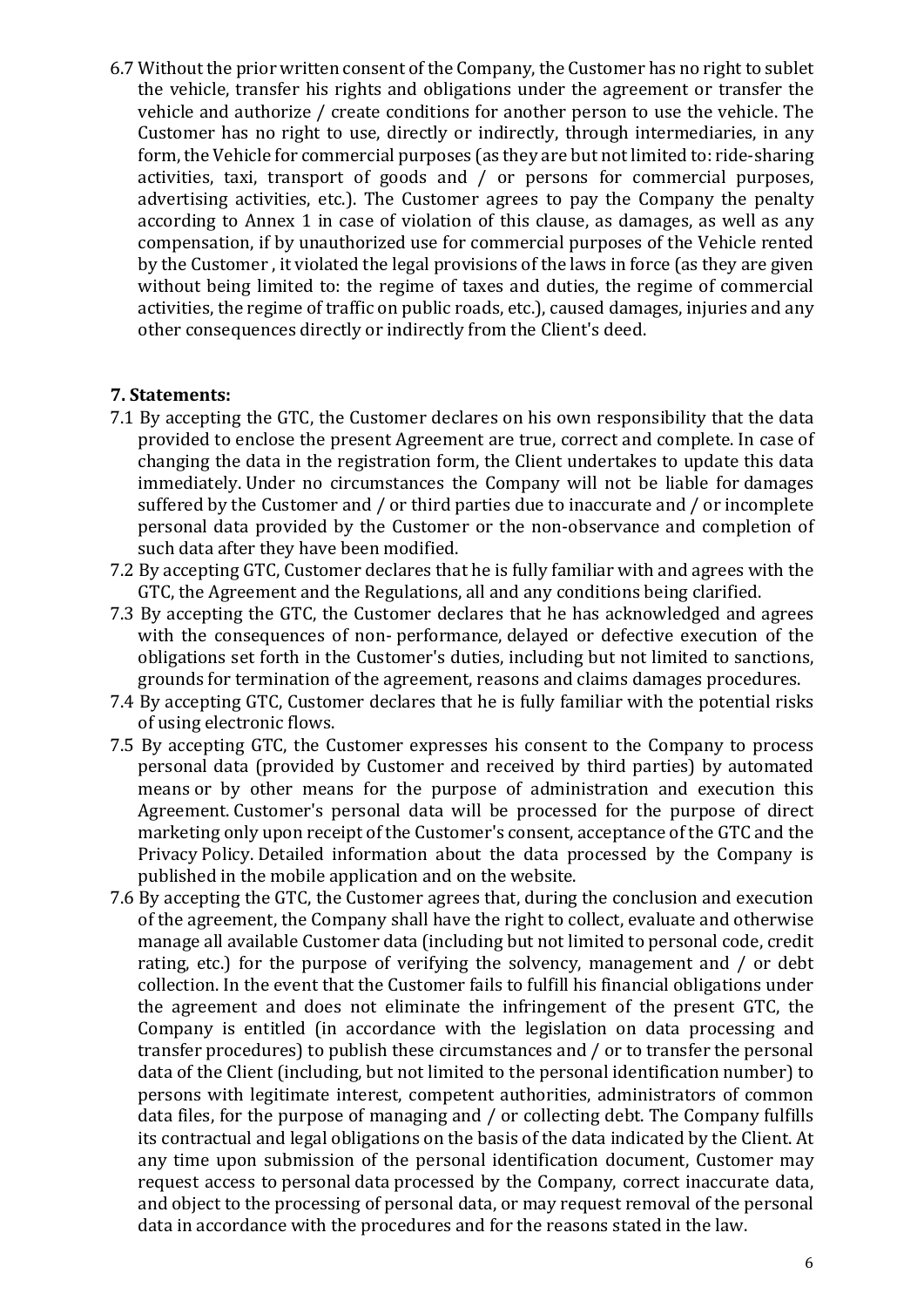6.7 Without the prior written consent of the Company, the Customer has no right to sublet the vehicle, transfer his rights and obligations under the agreement or transfer the vehicle and authorize / create conditions for another person to use the vehicle. The Customer has no right to use, directly or indirectly, through intermediaries, in any form, the Vehicle for commercial purposes (as they are but not limited to: ride-sharing activities, taxi, transport of goods and  $/$  or persons for commercial purposes, advertising activities, etc.). The Customer agrees to pay the Company the penalty according to Annex 1 in case of violation of this clause, as damages, as well as any compensation, if by unauthorized use for commercial purposes of the Vehicle rented by the Customer, it violated the legal provisions of the laws in force (as they are given without being limited to: the regime of taxes and duties, the regime of commercial activities, the regime of traffic on public roads, etc.), caused damages, injuries and any other consequences directly or indirectly from the Client's deed.

#### **7. Statements:**

- 7.1 By accepting the GTC, the Customer declares on his own responsibility that the data provided to enclose the present Agreement are true, correct and complete. In case of changing the data in the registration form, the Client undertakes to update this data immediately. Under no circumstances the Company will not be liable for damages suffered by the Customer and / or third parties due to inaccurate and / or incomplete personal data provided by the Customer or the non-observance and completion of such data after they have been modified.
- 7.2 By accepting GTC, Customer declares that he is fully familiar with and agrees with the GTC, the Agreement and the Regulations, all and any conditions being clarified.
- 7.3 By accepting the GTC, the Customer declares that he has acknowledged and agrees with the consequences of non- performance, delayed or defective execution of the obligations set forth in the Customer's duties, including but not limited to sanctions, grounds for termination of the agreement, reasons and claims damages procedures.
- 7.4 By accepting GTC, Customer declares that he is fully familiar with the potential risks of using electronic flows.
- 7.5 By accepting GTC, the Customer expresses his consent to the Company to process personal data (provided by Customer and received by third parties) by automated means or by other means for the purpose of administration and execution this Agreement. Customer's personal data will be processed for the purpose of direct marketing only upon receipt of the Customer's consent, acceptance of the GTC and the Privacy Policy. Detailed information about the data processed by the Company is published in the mobile application and on the website.
- 7.6 By accepting the GTC, the Customer agrees that, during the conclusion and execution of the agreement, the Company shall have the right to collect, evaluate and otherwise manage all available Customer data (including but not limited to personal code, credit rating, etc.) for the purpose of verifying the solvency, management and  $/$  or debt collection. In the event that the Customer fails to fulfill his financial obligations under the agreement and does not eliminate the infringement of the present GTC, the Company is entitled (in accordance with the legislation on data processing and transfer procedures) to publish these circumstances and / or to transfer the personal data of the Client (including, but not limited to the personal identification number) to persons with legitimate interest, competent authorities, administrators of common data files, for the purpose of managing and / or collecting debt. The Company fulfills its contractual and legal obligations on the basis of the data indicated by the Client. At any time upon submission of the personal identification document, Customer may request access to personal data processed by the Company, correct inaccurate data, and object to the processing of personal data, or may request removal of the personal data in accordance with the procedures and for the reasons stated in the law.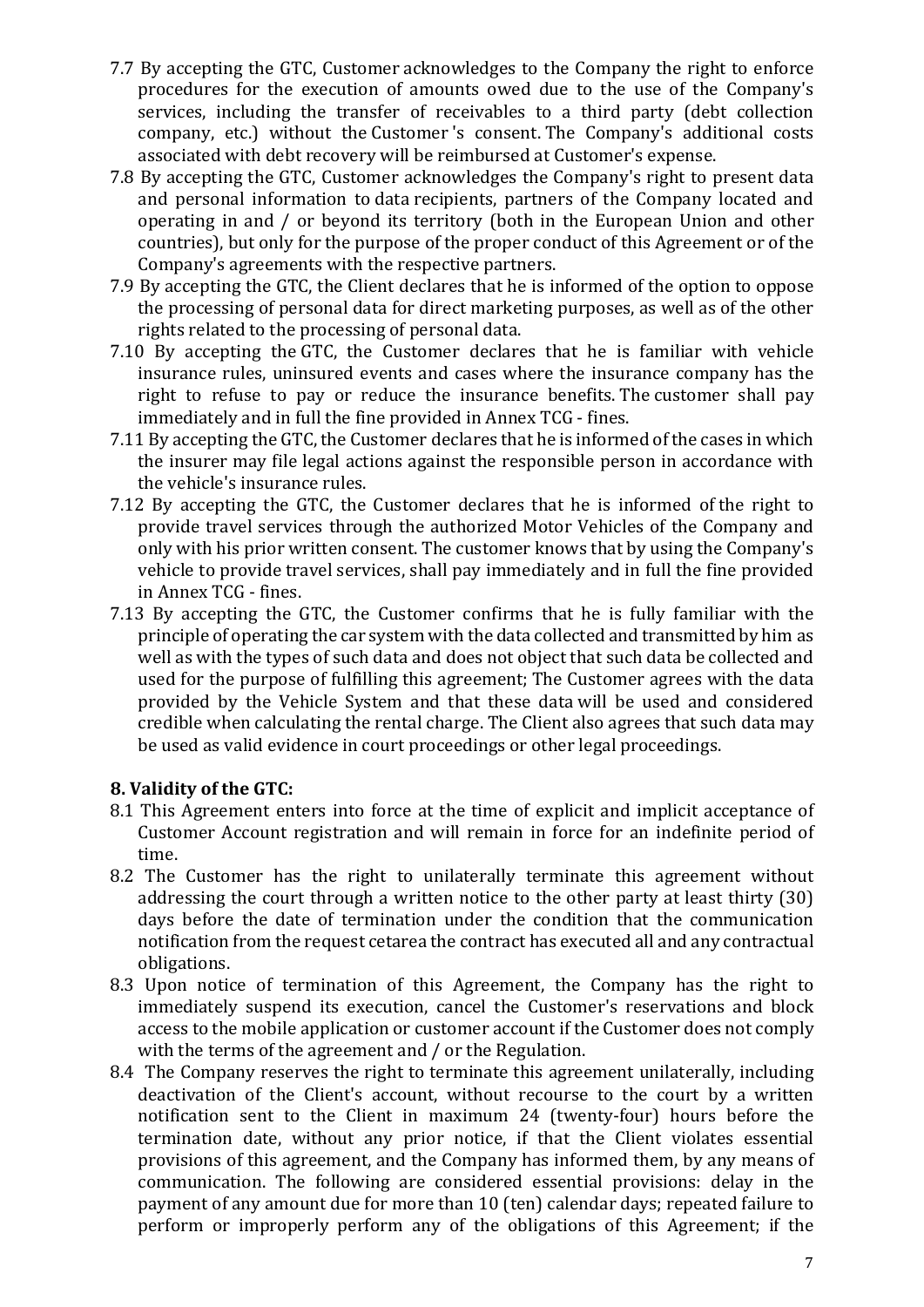- 7.7 By accepting the GTC, Customer acknowledges to the Company the right to enforce procedures for the execution of amounts owed due to the use of the Company's services, including the transfer of receivables to a third party (debt collection company, etc.) without the Customer's consent. The Company's additional costs associated with debt recovery will be reimbursed at Customer's expense.
- 7.8 By accepting the GTC, Customer acknowledges the Company's right to present data and personal information to data recipients, partners of the Company located and operating in and / or beyond its territory (both in the European Union and other countries), but only for the purpose of the proper conduct of this Agreement or of the Company's agreements with the respective partners.
- 7.9 By accepting the GTC, the Client declares that he is informed of the option to oppose the processing of personal data for direct marketing purposes, as well as of the other rights related to the processing of personal data.
- 7.10 By accepting the GTC, the Customer declares that he is familiar with vehicle insurance rules, uninsured events and cases where the insurance company has the right to refuse to pay or reduce the insurance benefits. The customer shall pay immediately and in full the fine provided in Annex TCG - fines.
- 7.11 By accepting the GTC, the Customer declares that he is informed of the cases in which the insurer may file legal actions against the responsible person in accordance with the vehicle's insurance rules.
- 7.12 By accepting the GTC, the Customer declares that he is informed of the right to provide travel services through the authorized Motor Vehicles of the Company and only with his prior written consent. The customer knows that by using the Company's vehicle to provide travel services, shall pay immediately and in full the fine provided in Annex TCG - fines.
- 7.13 By accepting the GTC, the Customer confirms that he is fully familiar with the principle of operating the car system with the data collected and transmitted by him as well as with the types of such data and does not object that such data be collected and used for the purpose of fulfilling this agreement; The Customer agrees with the data provided by the Vehicle System and that these data will be used and considered credible when calculating the rental charge. The Client also agrees that such data may be used as valid evidence in court proceedings or other legal proceedings.

### **8. Validity of the GTC:**

- 8.1 This Agreement enters into force at the time of explicit and implicit acceptance of Customer Account registration and will remain in force for an indefinite period of time.
- 8.2 The Customer has the right to unilaterally terminate this agreement without addressing the court through a written notice to the other party at least thirty  $(30)$ days before the date of termination under the condition that the communication notification from the request cetarea the contract has executed all and any contractual obligations.
- 8.3 Upon notice of termination of this Agreement, the Company has the right to immediately suspend its execution, cancel the Customer's reservations and block access to the mobile application or customer account if the Customer does not comply with the terms of the agreement and  $/$  or the Regulation.
- 8.4 The Company reserves the right to terminate this agreement unilaterally, including deactivation of the Client's account, without recourse to the court by a written notification sent to the Client in maximum 24 (twenty-four) hours before the termination date, without any prior notice, if that the Client violates essential provisions of this agreement, and the Company has informed them, by any means of communication. The following are considered essential provisions: delay in the payment of any amount due for more than 10 (ten) calendar days; repeated failure to perform or improperly perform any of the obligations of this Agreement; if the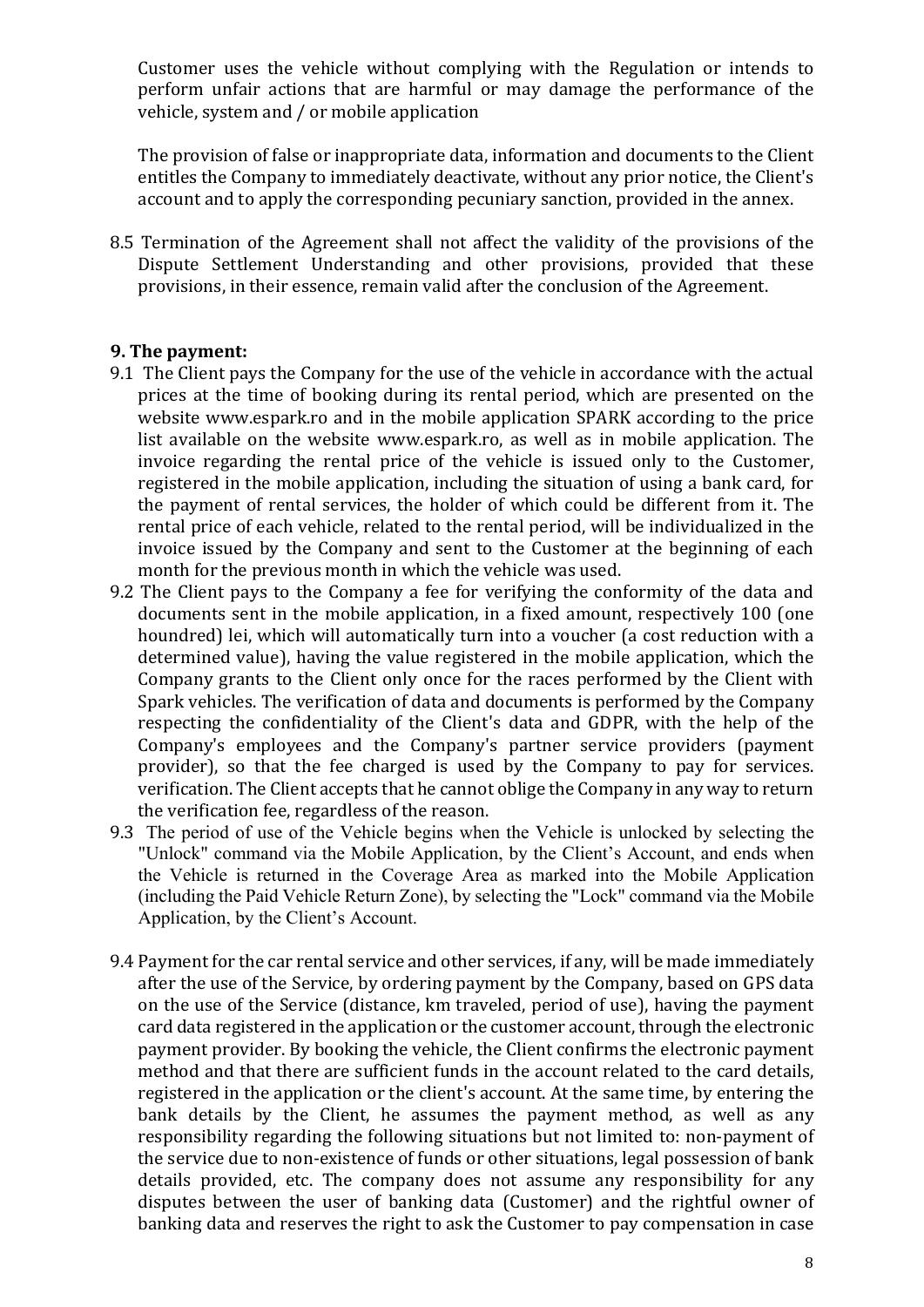Customer uses the vehicle without complying with the Regulation or intends to perform unfair actions that are harmful or may damage the performance of the vehicle, system and / or mobile application

The provision of false or inappropriate data, information and documents to the Client entitles the Company to immediately deactivate, without any prior notice, the Client's account and to apply the corresponding pecuniary sanction, provided in the annex.

8.5 Termination of the Agreement shall not affect the validity of the provisions of the Dispute Settlement Understanding and other provisions, provided that these provisions, in their essence, remain valid after the conclusion of the Agreement.

#### **9. The payment:**

- 9.1 The Client pays the Company for the use of the vehicle in accordance with the actual prices at the time of booking during its rental period, which are presented on the website www.espark.ro and in the mobile application SPARK according to the price list available on the website www.espark.ro, as well as in mobile application. The invoice regarding the rental price of the vehicle is issued only to the Customer, registered in the mobile application, including the situation of using a bank card, for the payment of rental services, the holder of which could be different from it. The rental price of each vehicle, related to the rental period, will be individualized in the invoice issued by the Company and sent to the Customer at the beginning of each month for the previous month in which the vehicle was used.
- 9.2 The Client pays to the Company a fee for verifying the conformity of the data and documents sent in the mobile application, in a fixed amount, respectively 100 (one houndred) lei, which will automatically turn into a voucher (a cost reduction with a determined value), having the value registered in the mobile application, which the Company grants to the Client only once for the races performed by the Client with Spark vehicles. The verification of data and documents is performed by the Company respecting the confidentiality of the Client's data and GDPR, with the help of the Company's employees and the Company's partner service providers (payment provider), so that the fee charged is used by the Company to pay for services. verification. The Client accepts that he cannot oblige the Company in any way to return the verification fee, regardless of the reason.
- 9.3 The period of use of the Vehicle begins when the Vehicle is unlocked by selecting the "Unlock" command via the Mobile Application, by the Client's Account, and ends when the Vehicle is returned in the Coverage Area as marked into the Mobile Application (including the Paid Vehicle Return Zone), by selecting the "Lock" command via the Mobile Application, by the Client's Account.
- 9.4 Payment for the car rental service and other services, if any, will be made immediately after the use of the Service, by ordering payment by the Company, based on GPS data on the use of the Service (distance, km traveled, period of use), having the payment card data registered in the application or the customer account, through the electronic payment provider. By booking the vehicle, the Client confirms the electronic payment method and that there are sufficient funds in the account related to the card details, registered in the application or the client's account. At the same time, by entering the bank details by the Client, he assumes the payment method, as well as any responsibility regarding the following situations but not limited to: non-payment of the service due to non-existence of funds or other situations, legal possession of bank details provided, etc. The company does not assume any responsibility for any disputes between the user of banking data (Customer) and the rightful owner of banking data and reserves the right to ask the Customer to pay compensation in case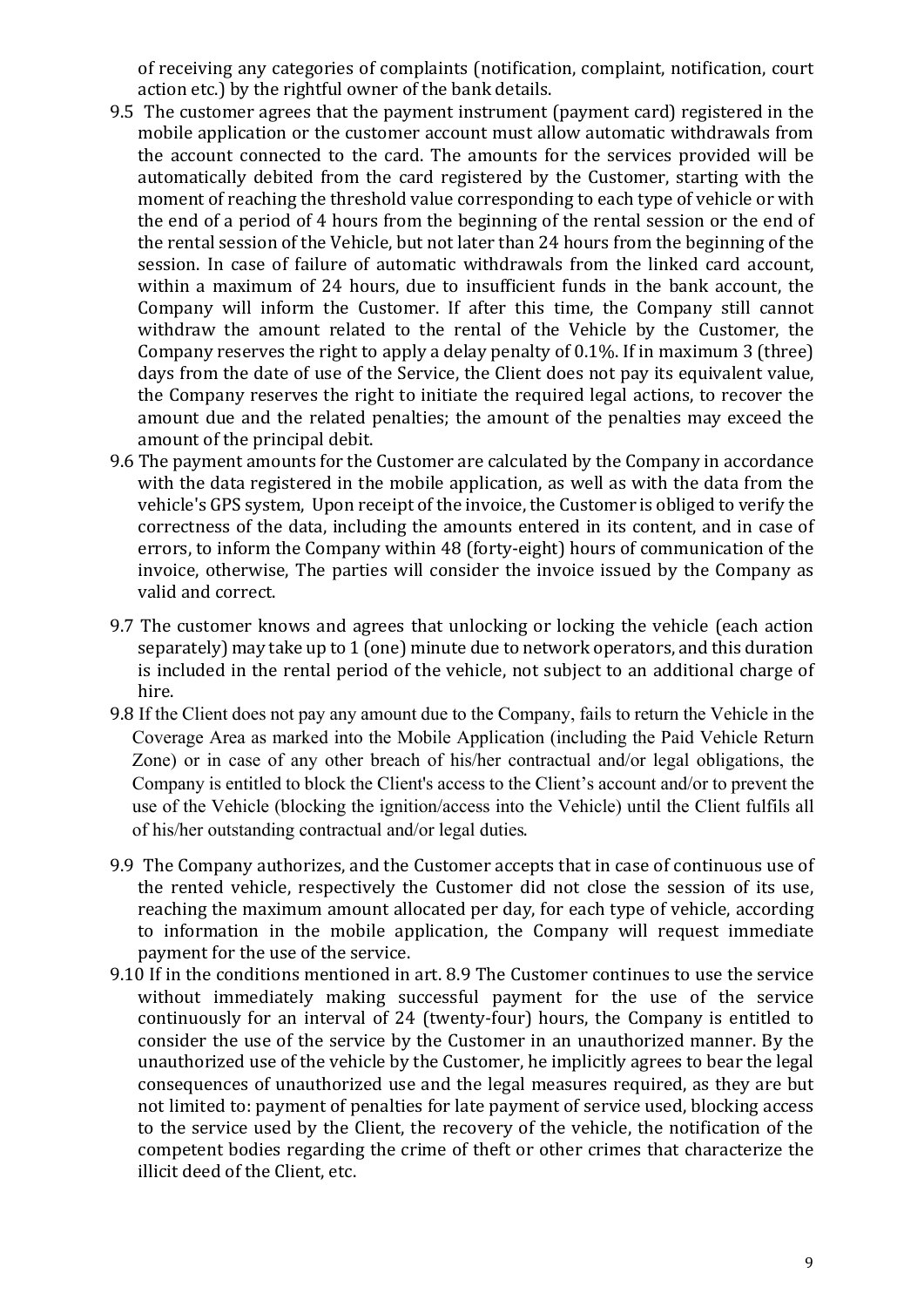of receiving any categories of complaints (notification, complaint, notification, court action etc.) by the rightful owner of the bank details.

- 9.5 The customer agrees that the payment instrument (payment card) registered in the mobile application or the customer account must allow automatic withdrawals from the account connected to the card. The amounts for the services provided will be automatically debited from the card registered by the Customer, starting with the moment of reaching the threshold value corresponding to each type of vehicle or with the end of a period of 4 hours from the beginning of the rental session or the end of the rental session of the Vehicle, but not later than 24 hours from the beginning of the session. In case of failure of automatic withdrawals from the linked card account, within a maximum of 24 hours, due to insufficient funds in the bank account, the Company will inform the Customer. If after this time, the Company still cannot withdraw the amount related to the rental of the Vehicle by the Customer, the Company reserves the right to apply a delay penalty of  $0.1\%$ . If in maximum 3 (three) days from the date of use of the Service, the Client does not pay its equivalent value, the Company reserves the right to initiate the required legal actions, to recover the amount due and the related penalties; the amount of the penalties may exceed the amount of the principal debit.
- 9.6 The payment amounts for the Customer are calculated by the Company in accordance with the data registered in the mobile application, as well as with the data from the vehicle's GPS system, Upon receipt of the invoice, the Customer is obliged to verify the correctness of the data, including the amounts entered in its content, and in case of errors, to inform the Company within 48 (forty-eight) hours of communication of the invoice, otherwise. The parties will consider the invoice issued by the Company as valid and correct.
- 9.7 The customer knows and agrees that unlocking or locking the vehicle (each action separately) may take up to 1 (one) minute due to network operators, and this duration is included in the rental period of the vehicle, not subject to an additional charge of hire.
- 9.8 If the Client does not pay any amount due to the Company, fails to return the Vehicle in the Coverage Area as marked into the Mobile Application (including the Paid Vehicle Return Zone) or in case of any other breach of his/her contractual and/or legal obligations, the Company is entitled to block the Client's access to the Client's account and/or to prevent the use of the Vehicle (blocking the ignition/access into the Vehicle) until the Client fulfils all of his/her outstanding contractual and/or legal duties.
- 9.9 The Company authorizes, and the Customer accepts that in case of continuous use of the rented vehicle, respectively the Customer did not close the session of its use, reaching the maximum amount allocated per day, for each type of vehicle, according to information in the mobile application, the Company will request immediate payment for the use of the service.
- 9.10 If in the conditions mentioned in art. 8.9 The Customer continues to use the service without immediately making successful payment for the use of the service continuously for an interval of 24 (twenty-four) hours, the Company is entitled to consider the use of the service by the Customer in an unauthorized manner. By the unauthorized use of the vehicle by the Customer, he implicitly agrees to bear the legal consequences of unauthorized use and the legal measures required, as they are but not limited to: payment of penalties for late payment of service used, blocking access to the service used by the Client, the recovery of the vehicle, the notification of the competent bodies regarding the crime of theft or other crimes that characterize the illicit deed of the Client, etc.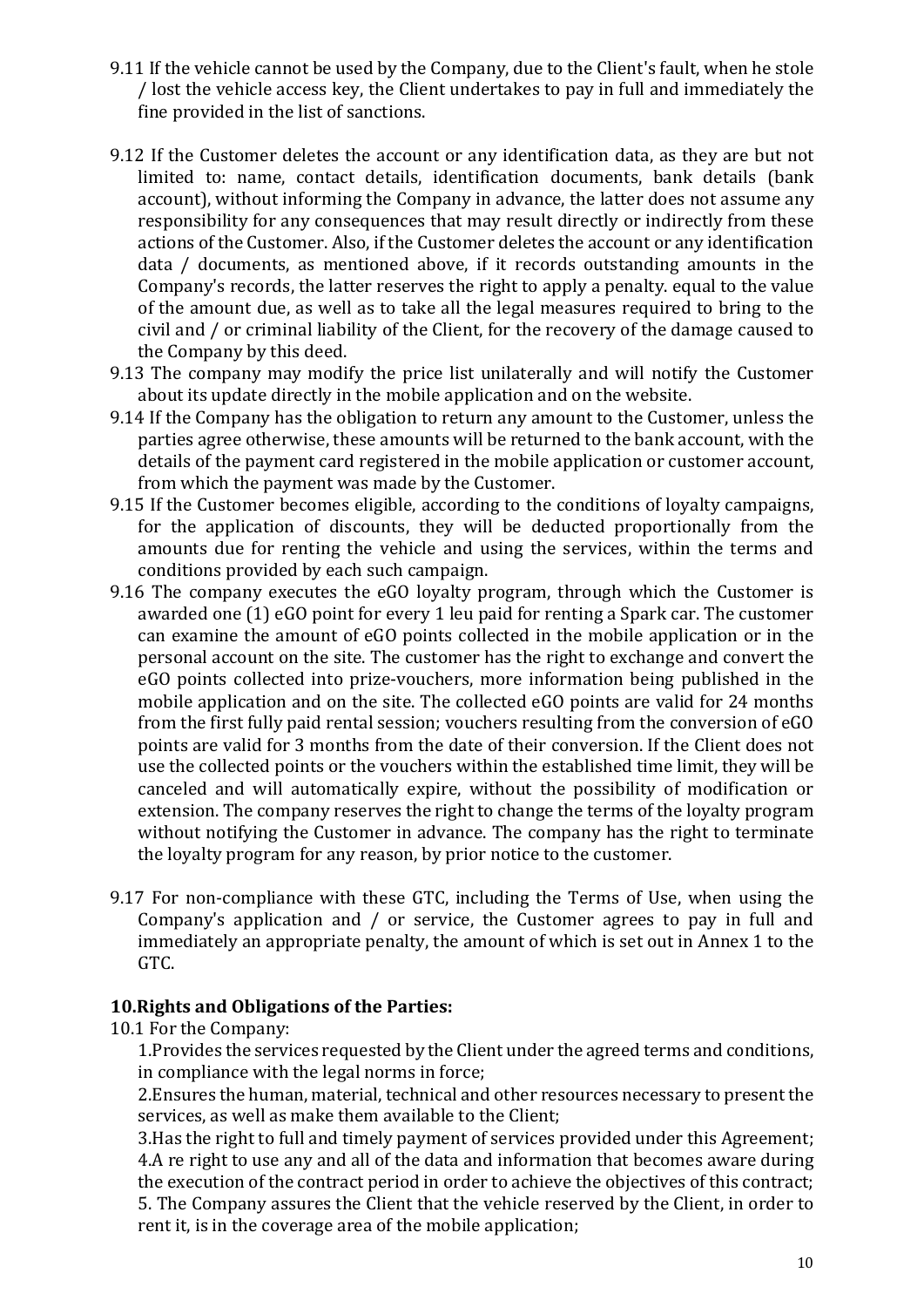- 9.11 If the vehicle cannot be used by the Company, due to the Client's fault, when he stole / lost the vehicle access key, the Client undertakes to pay in full and immediately the fine provided in the list of sanctions.
- 9.12 If the Customer deletes the account or any identification data, as they are but not limited to: name, contact details, identification documents, bank details (bank account), without informing the Company in advance, the latter does not assume any responsibility for any consequences that may result directly or indirectly from these actions of the Customer. Also, if the Customer deletes the account or any identification data  $\ell$  documents, as mentioned above, if it records outstanding amounts in the Company's records, the latter reserves the right to apply a penalty, equal to the value of the amount due, as well as to take all the legal measures required to bring to the civil and / or criminal liability of the Client, for the recovery of the damage caused to the Company by this deed.
- 9.13 The company may modify the price list unilaterally and will notify the Customer about its update directly in the mobile application and on the website.
- 9.14 If the Company has the obligation to return any amount to the Customer, unless the parties agree otherwise, these amounts will be returned to the bank account, with the details of the payment card registered in the mobile application or customer account, from which the payment was made by the Customer.
- 9.15 If the Customer becomes eligible, according to the conditions of loyalty campaigns, for the application of discounts, they will be deducted proportionally from the amounts due for renting the vehicle and using the services, within the terms and conditions provided by each such campaign.
- 9.16 The company executes the  $eG$  loyalty program, through which the Customer is awarded one  $(1)$  eGO point for every 1 leu paid for renting a Spark car. The customer can examine the amount of  $eGO$  points collected in the mobile application or in the personal account on the site. The customer has the right to exchange and convert the eGO points collected into prize-vouchers, more information being published in the mobile application and on the site. The collected eGO points are valid for 24 months from the first fully paid rental session; vouchers resulting from the conversion of  $eGO$ points are valid for 3 months from the date of their conversion. If the Client does not use the collected points or the vouchers within the established time limit, they will be canceled and will automatically expire, without the possibility of modification or extension. The company reserves the right to change the terms of the loyalty program without notifying the Customer in advance. The company has the right to terminate the loyalty program for any reason, by prior notice to the customer.
- 9.17 For non-compliance with these GTC, including the Terms of Use, when using the Company's application and  $/$  or service, the Customer agrees to pay in full and immediately an appropriate penalty, the amount of which is set out in Annex 1 to the GTC.

### **10. Rights and Obligations of the Parties:**

### 10.1 For the Company:

1. Provides the services requested by the Client under the agreed terms and conditions, in compliance with the legal norms in force;

2. Ensures the human, material, technical and other resources necessary to present the services, as well as make them available to the Client;

3. Has the right to full and timely payment of services provided under this Agreement; 4.A re right to use any and all of the data and information that becomes aware during the execution of the contract period in order to achieve the objectives of this contract; 5. The Company assures the Client that the vehicle reserved by the Client, in order to rent it, is in the coverage area of the mobile application;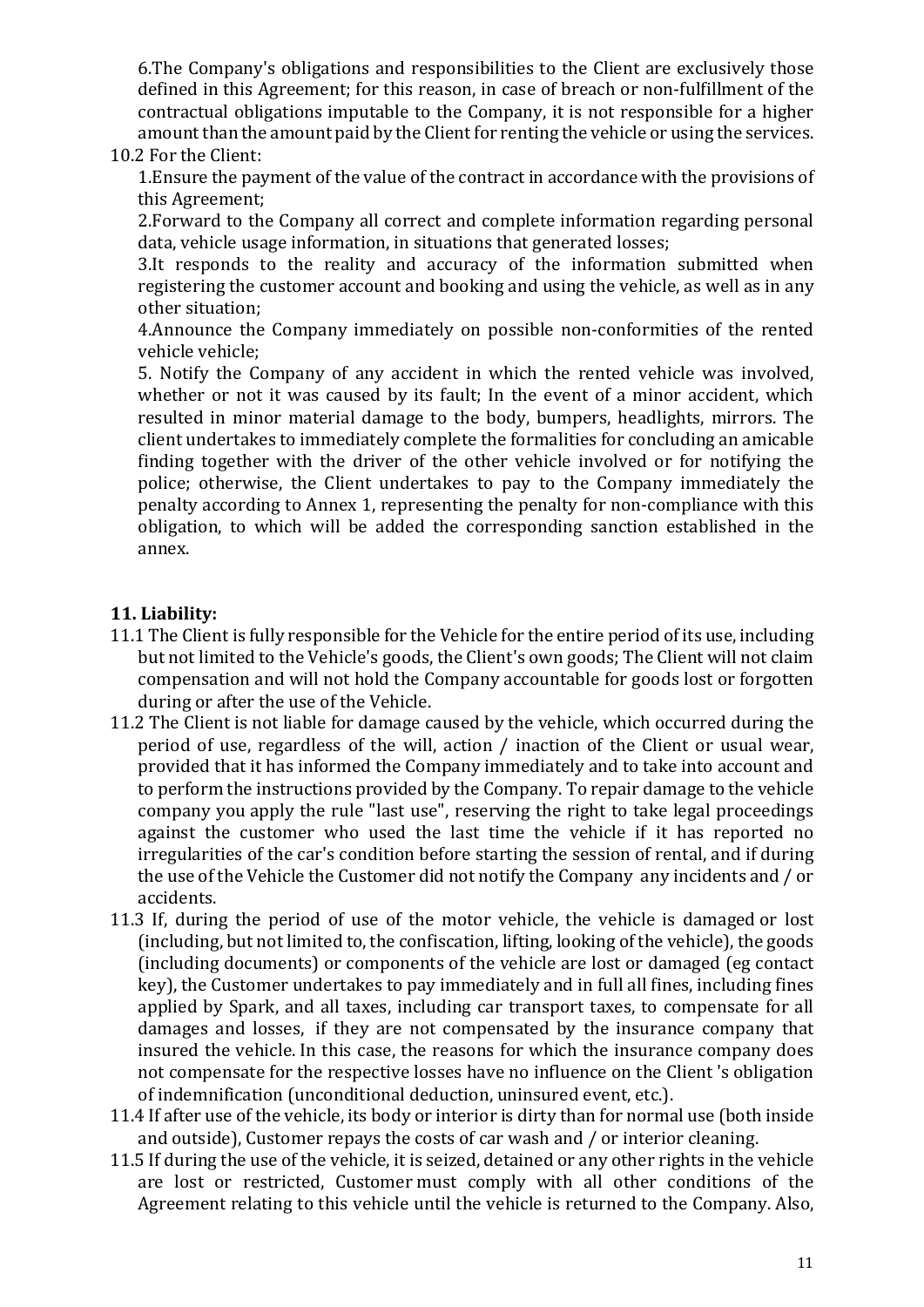6. The Company's obligations and responsibilities to the Client are exclusively those defined in this Agreement; for this reason, in case of breach or non-fulfillment of the contractual obligations imputable to the Company, it is not responsible for a higher amount than the amount paid by the Client for renting the vehicle or using the services.

### 10.2 For the Client:

1. Ensure the payment of the value of the contract in accordance with the provisions of this Agreement;

2. Forward to the Company all correct and complete information regarding personal data, vehicle usage information, in situations that generated losses;

 $3.$ It responds to the reality and accuracy of the information submitted when registering the customer account and booking and using the vehicle, as well as in any other situation:

4.Announce the Company immediately on possible non-conformities of the rented vehicle vehicle:

5. Notify the Company of any accident in which the rented vehicle was involved, whether or not it was caused by its fault; In the event of a minor accident, which resulted in minor material damage to the body, bumpers, headlights, mirrors. The client undertakes to immediately complete the formalities for concluding an amicable finding together with the driver of the other vehicle involved or for notifying the police; otherwise, the Client undertakes to pay to the Company immediately the penalty according to Annex 1, representing the penalty for non-compliance with this obligation, to which will be added the corresponding sanction established in the annex.

## **11. Liability:**

- 11.1 The Client is fully responsible for the Vehicle for the entire period of its use, including but not limited to the Vehicle's goods, the Client's own goods; The Client will not claim compensation and will not hold the Company accountable for goods lost or forgotten during or after the use of the Vehicle.
- 11.2 The Client is not liable for damage caused by the vehicle, which occurred during the period of use, regardless of the will, action / inaction of the Client or usual wear, provided that it has informed the Company immediately and to take into account and to perform the instructions provided by the Company. To repair damage to the vehicle company you apply the rule "last use", reserving the right to take legal proceedings against the customer who used the last time the vehicle if it has reported no irregularities of the car's condition before starting the session of rental, and if during the use of the Vehicle the Customer did not notify the Company any incidents and / or accidents.
- 11.3 If, during the period of use of the motor vehicle, the vehicle is damaged or lost (including, but not limited to, the confiscation, lifting, looking of the vehicle), the goods (including documents) or components of the vehicle are lost or damaged (eg contact key), the Customer undertakes to pay immediately and in full all fines, including fines applied by Spark, and all taxes, including car transport taxes, to compensate for all damages and losses, if they are not compensated by the insurance company that insured the vehicle. In this case, the reasons for which the insurance company does not compensate for the respective losses have no influence on the Client 's obligation of indemnification (unconditional deduction, uninsured event, etc.).
- 11.4 If after use of the vehicle, its body or interior is dirty than for normal use (both inside and outside), Customer repays the costs of car wash and  $/$  or interior cleaning.
- 11.5 If during the use of the vehicle, it is seized, detained or any other rights in the vehicle are lost or restricted, Customer must comply with all other conditions of the Agreement relating to this vehicle until the vehicle is returned to the Company. Also,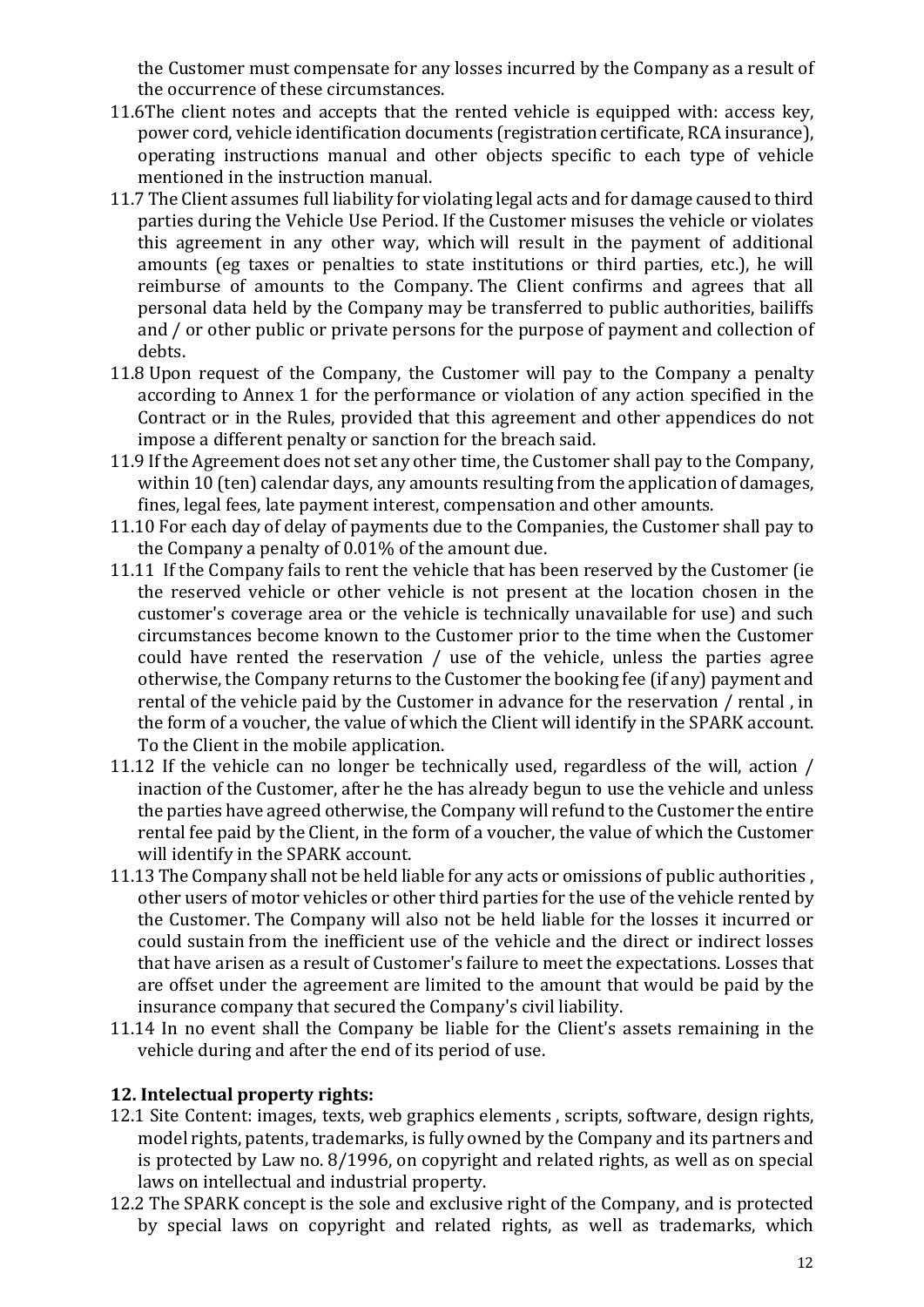the Customer must compensate for any losses incurred by the Company as a result of the occurrence of these circumstances.

- 11.6The client notes and accepts that the rented vehicle is equipped with: access key, power cord, vehicle identification documents (registration certificate, RCA insurance), operating instructions manual and other objects specific to each type of vehicle mentioned in the instruction manual.
- 11.7 The Client assumes full liability for violating legal acts and for damage caused to third parties during the Vehicle Use Period. If the Customer misuses the vehicle or violates this agreement in any other way, which will result in the payment of additional amounts (eg taxes or penalties to state institutions or third parties, etc.), he will reimburse of amounts to the Company. The Client confirms and agrees that all personal data held by the Company may be transferred to public authorities, bailiffs and / or other public or private persons for the purpose of payment and collection of debts.
- 11.8 Upon request of the Company, the Customer will pay to the Company a penalty according to Annex 1 for the performance or violation of any action specified in the Contract or in the Rules, provided that this agreement and other appendices do not impose a different penalty or sanction for the breach said.
- 11.9 If the Agreement does not set any other time, the Customer shall pay to the Company, within 10 (ten) calendar days, any amounts resulting from the application of damages, fines, legal fees, late payment interest, compensation and other amounts.
- 11.10 For each day of delay of payments due to the Companies, the Customer shall pay to the Company a penalty of  $0.01\%$  of the amount due.
- 11.11 If the Company fails to rent the vehicle that has been reserved by the Customer (ie the reserved vehicle or other vehicle is not present at the location chosen in the customer's coverage area or the vehicle is technically unavailable for use) and such circumstances become known to the Customer prior to the time when the Customer could have rented the reservation  $/$  use of the vehicle, unless the parties agree otherwise, the Company returns to the Customer the booking fee (if any) payment and rental of the vehicle paid by the Customer in advance for the reservation / rental, in the form of a voucher, the value of which the Client will identify in the SPARK account. To the Client in the mobile application.
- 11.12 If the vehicle can no longer be technically used, regardless of the will, action / inaction of the Customer, after he the has already begun to use the vehicle and unless the parties have agreed otherwise, the Company will refund to the Customer the entire rental fee paid by the Client, in the form of a voucher, the value of which the Customer will identify in the SPARK account.
- 11.13 The Company shall not be held liable for any acts or omissions of public authorities, other users of motor vehicles or other third parties for the use of the vehicle rented by the Customer. The Company will also not be held liable for the losses it incurred or could sustain from the inefficient use of the vehicle and the direct or indirect losses that have arisen as a result of Customer's failure to meet the expectations. Losses that are offset under the agreement are limited to the amount that would be paid by the insurance company that secured the Company's civil liability.
- 11.14 In no event shall the Company be liable for the Client's assets remaining in the vehicle during and after the end of its period of use.

## **12. Intelectual property rights:**

- 12.1 Site Content: images, texts, web graphics elements, scripts, software, design rights, model rights, patents, trademarks, is fully owned by the Company and its partners and is protected by Law no.  $8/1996$ , on copyright and related rights, as well as on special laws on intellectual and industrial property.
- 12.2 The SPARK concept is the sole and exclusive right of the Company, and is protected by special laws on copyright and related rights, as well as trademarks, which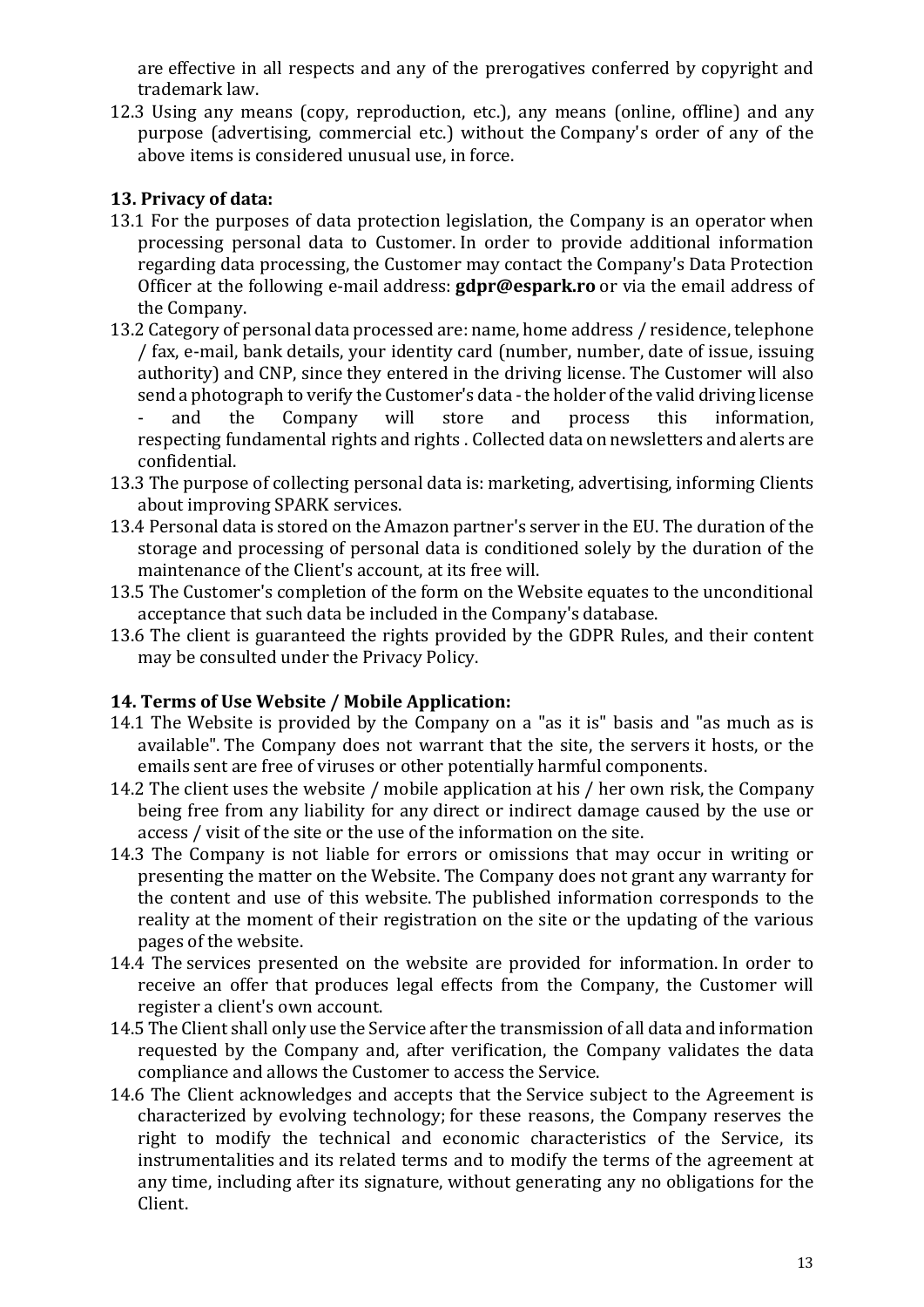are effective in all respects and any of the prerogatives conferred by copyright and trademark law.

12.3 Using any means (copy, reproduction, etc.), any means (online, offline) and any purpose (advertising, commercial etc.) without the Company's order of any of the above items is considered unusual use, in force.

# **13. Privacy of data:**

- 13.1 For the purposes of data protection legislation, the Company is an operator when processing personal data to Customer. In order to provide additional information  $\overline{\mathbf{r}}$  regarding data processing, the Customer may contact the Company's Data Protection Officer at the following e-mail address: **gdpr@espark.ro** or via the email address of the Company.
- 13.2 Category of personal data processed are: name, home address / residence, telephone / fax, e-mail, bank details, your identity card (number, number, date of issue, issuing authority) and CNP, since they entered in the driving license. The Customer will also send a photograph to verify the Customer's data - the holder of the valid driving license and the Company will store and process this information,
	- respecting fundamental rights and rights . Collected data on newsletters and alerts are confidential.
- 13.3 The purpose of collecting personal data is: marketing, advertising, informing Clients about improving SPARK services.
- 13.4 Personal data is stored on the Amazon partner's server in the EU. The duration of the storage and processing of personal data is conditioned solely by the duration of the maintenance of the Client's account, at its free will.
- 13.5 The Customer's completion of the form on the Website equates to the unconditional acceptance that such data be included in the Company's database.
- 13.6 The client is guaranteed the rights provided by the GDPR Rules, and their content may be consulted under the Privacy Policy.

## **14. Terms of Use Website / Mobile Application:**

- 14.1 The Website is provided by the Company on a "as it is" basis and "as much as is available". The Company does not warrant that the site, the servers it hosts, or the emails sent are free of viruses or other potentially harmful components.
- 14.2 The client uses the website / mobile application at his / her own risk, the Company being free from any liability for any direct or indirect damage caused by the use or access / visit of the site or the use of the information on the site.
- 14.3 The Company is not liable for errors or omissions that may occur in writing or presenting the matter on the Website. The Company does not grant any warranty for the content and use of this website. The published information corresponds to the reality at the moment of their registration on the site or the updating of the various pages of the website.
- 14.4 The services presented on the website are provided for information. In order to receive an offer that produces legal effects from the Company, the Customer will register a client's own account.
- 14.5 The Client shall only use the Service after the transmission of all data and information requested by the Company and, after verification, the Company validates the data compliance and allows the Customer to access the Service.
- 14.6 The Client acknowledges and accepts that the Service subject to the Agreement is characterized by evolving technology; for these reasons, the Company reserves the right to modify the technical and economic characteristics of the Service, its instrumentalities and its related terms and to modify the terms of the agreement at any time, including after its signature, without generating any no obligations for the Client.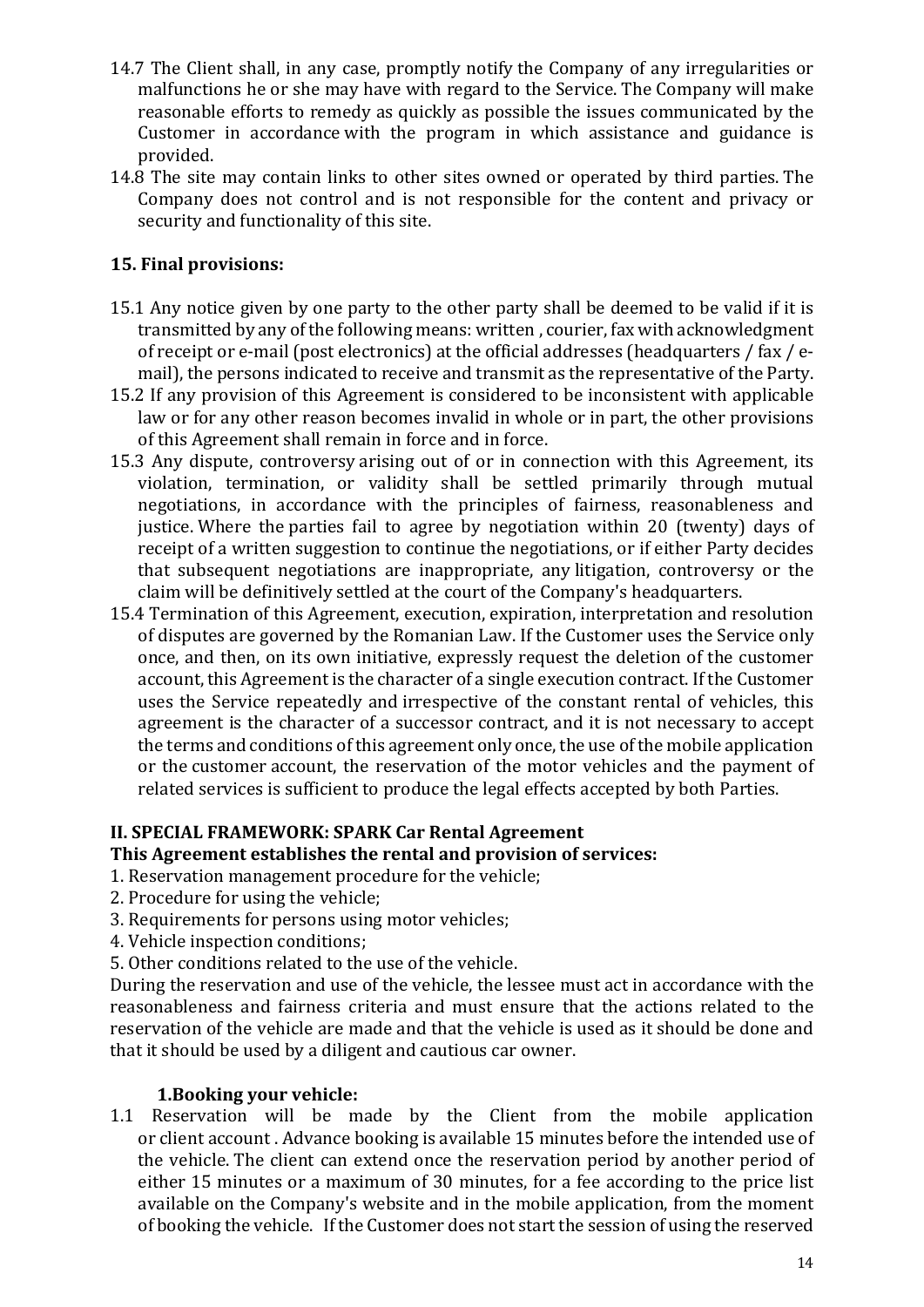- 14.7 The Client shall, in any case, promptly notify the Company of any irregularities or malfunctions he or she may have with regard to the Service. The Company will make reasonable efforts to remedy as quickly as possible the issues communicated by the Customer in accordance with the program in which assistance and guidance is provided.
- 14.8 The site may contain links to other sites owned or operated by third parties. The Company does not control and is not responsible for the content and privacy or security and functionality of this site.

# **15. Final provisions:**

- 15.1 Any notice given by one party to the other party shall be deemed to be valid if it is transmitted by any of the following means: written, courier, fax with acknowledgment of receipt or e-mail (post electronics) at the official addresses (headquarters / fax / email), the persons indicated to receive and transmit as the representative of the Party.
- 15.2 If any provision of this Agreement is considered to be inconsistent with applicable law or for any other reason becomes invalid in whole or in part, the other provisions of this Agreement shall remain in force and in force.
- 15.3 Any dispute, controversy arising out of or in connection with this Agreement, its violation, termination, or validity shall be settled primarily through mutual negotiations, in accordance with the principles of fairness, reasonableness and justice. Where the parties fail to agree by negotiation within 20 (twenty) days of receipt of a written suggestion to continue the negotiations, or if either Party decides that subsequent negotiations are inappropriate, any litigation, controversy or the claim will be definitively settled at the court of the Company's headquarters.
- 15.4 Termination of this Agreement, execution, expiration, interpretation and resolution of disputes are governed by the Romanian Law. If the Customer uses the Service only once, and then, on its own initiative, expressly request the deletion of the customer account, this Agreement is the character of a single execution contract. If the Customer uses the Service repeatedly and irrespective of the constant rental of vehicles, this agreement is the character of a successor contract, and it is not necessary to accept the terms and conditions of this agreement only once, the use of the mobile application or the customer account, the reservation of the motor vehicles and the payment of related services is sufficient to produce the legal effects accepted by both Parties.

## **II. SPECIAL FRAMEWORK: SPARK Car Rental Agreement**

### This Agreement establishes the rental and provision of services:

- 1. Reservation management procedure for the vehicle;
- 2. Procedure for using the vehicle;
- 3. Requirements for persons using motor vehicles;
- 4. Vehicle inspection conditions;
- 5. Other conditions related to the use of the vehicle.

During the reservation and use of the vehicle, the lessee must act in accordance with the reasonableness and fairness criteria and must ensure that the actions related to the reservation of the vehicle are made and that the vehicle is used as it should be done and that it should be used by a diligent and cautious car owner.

### **1.Booking your vehicle:**

1.1 Reservation will be made by the Client from the mobile application or client account. Advance booking is available 15 minutes before the intended use of the vehicle. The client can extend once the reservation period by another period of either 15 minutes or a maximum of 30 minutes, for a fee according to the price list available on the Company's website and in the mobile application, from the moment of booking the vehicle. If the Customer does not start the session of using the reserved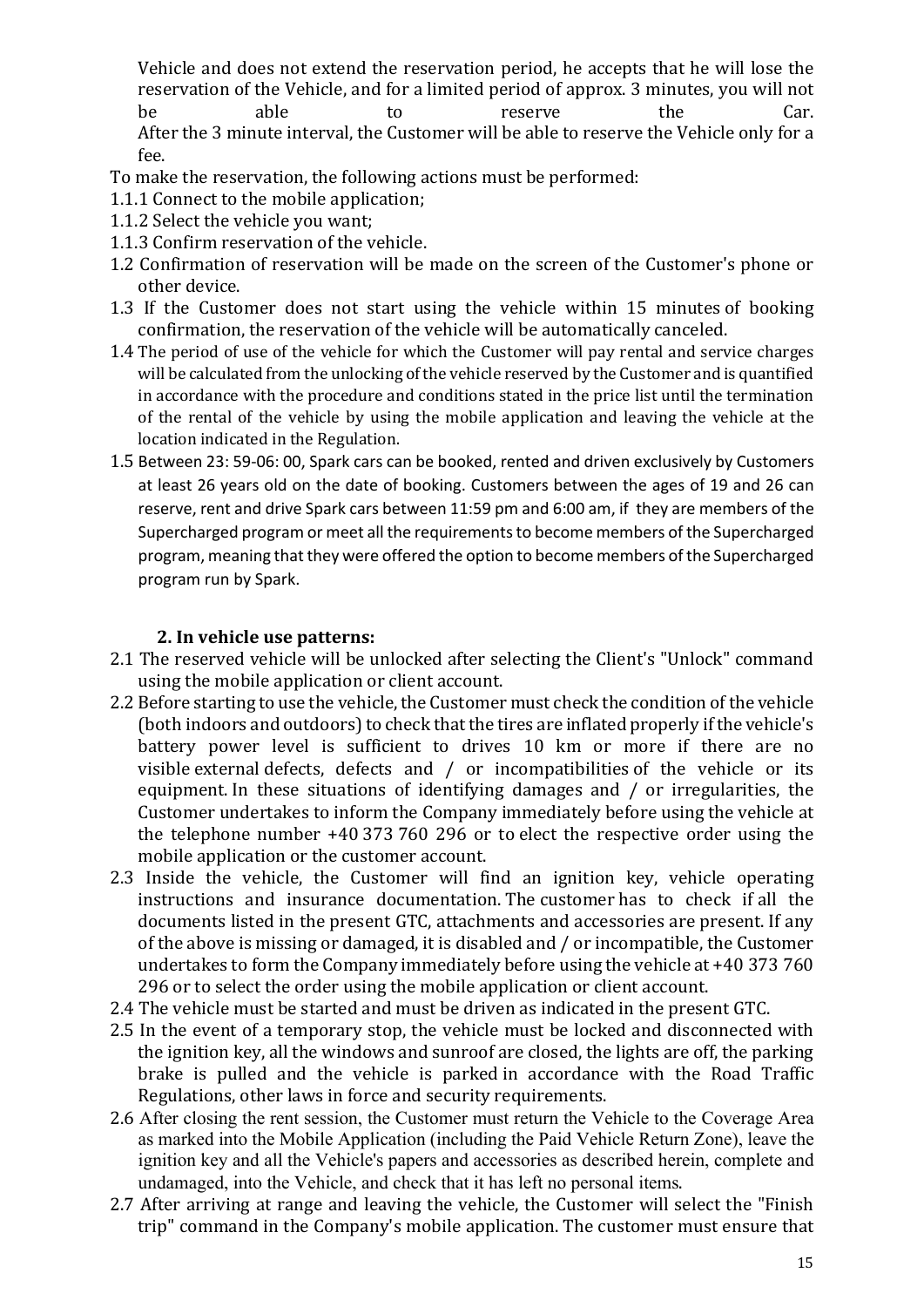Vehicle and does not extend the reservation period, he accepts that he will lose the reservation of the Vehicle, and for a limited period of approx. 3 minutes, you will not be able to reserve the Car. After the 3 minute interval, the Customer will be able to reserve the Vehicle only for a fee.

To make the reservation, the following actions must be performed:

- 1.1.1 Connect to the mobile application;
- 1.1.2 Select the vehicle you want;
- 1.1.3 Confirm reservation of the vehicle.
- 1.2 Confirmation of reservation will be made on the screen of the Customer's phone or other device.
- 1.3 If the Customer does not start using the vehicle within 15 minutes of booking confirmation, the reservation of the vehicle will be automatically canceled.
- 1.4 The period of use of the vehicle for which the Customer will pay rental and service charges will be calculated from the unlocking of the vehicle reserved by the Customer and is quantified in accordance with the procedure and conditions stated in the price list until the termination of the rental of the vehicle by using the mobile application and leaving the vehicle at the location indicated in the Regulation.
- 1.5 Between 23: 59-06: 00, Spark cars can be booked, rented and driven exclusively by Customers at least 26 years old on the date of booking. Customers between the ages of 19 and 26 can reserve, rent and drive Spark cars between 11:59 pm and 6:00 am, if they are members of the Supercharged program or meet all the requirements to become members of the Supercharged program, meaning that they were offered the option to become members of the Supercharged program run by Spark.

### **2. In vehicle use patterns:**

- 2.1 The reserved vehicle will be unlocked after selecting the Client's "Unlock" command using the mobile application or client account.
- 2.2 Before starting to use the vehicle, the Customer must check the condition of the vehicle (both indoors and outdoors) to check that the tires are inflated properly if the vehicle's battery power level is sufficient to drives 10 km or more if there are no visible external defects, defects and  $/$  or incompatibilities of the vehicle or its equipment. In these situations of identifying damages and  $/$  or irregularities, the Customer undertakes to inform the Company immediately before using the vehicle at the telephone number  $+40$  373 760 296 or to elect the respective order using the mobile application or the customer account.
- 2.3 Inside the vehicle, the Customer will find an ignition key, vehicle operating instructions and insurance documentation. The customer has to check if all the documents listed in the present GTC, attachments and accessories are present. If any of the above is missing or damaged, it is disabled and / or incompatible, the Customer undertakes to form the Company immediately before using the vehicle at  $+40$  373 760 296 or to select the order using the mobile application or client account.
- 2.4 The vehicle must be started and must be driven as indicated in the present GTC.
- 2.5 In the event of a temporary stop, the vehicle must be locked and disconnected with the ignition key, all the windows and sunroof are closed, the lights are off, the parking brake is pulled and the vehicle is parked in accordance with the Road Traffic Regulations, other laws in force and security requirements.
- 2.6 After closing the rent session, the Customer must return the Vehicle to the Coverage Area as marked into the Mobile Application (including the Paid Vehicle Return Zone), leave the ignition key and all the Vehicle's papers and accessories as described herein, complete and undamaged, into the Vehicle, and check that it has left no personal items.
- 2.7 After arriving at range and leaving the vehicle, the Customer will select the "Finish" trip" command in the Company's mobile application. The customer must ensure that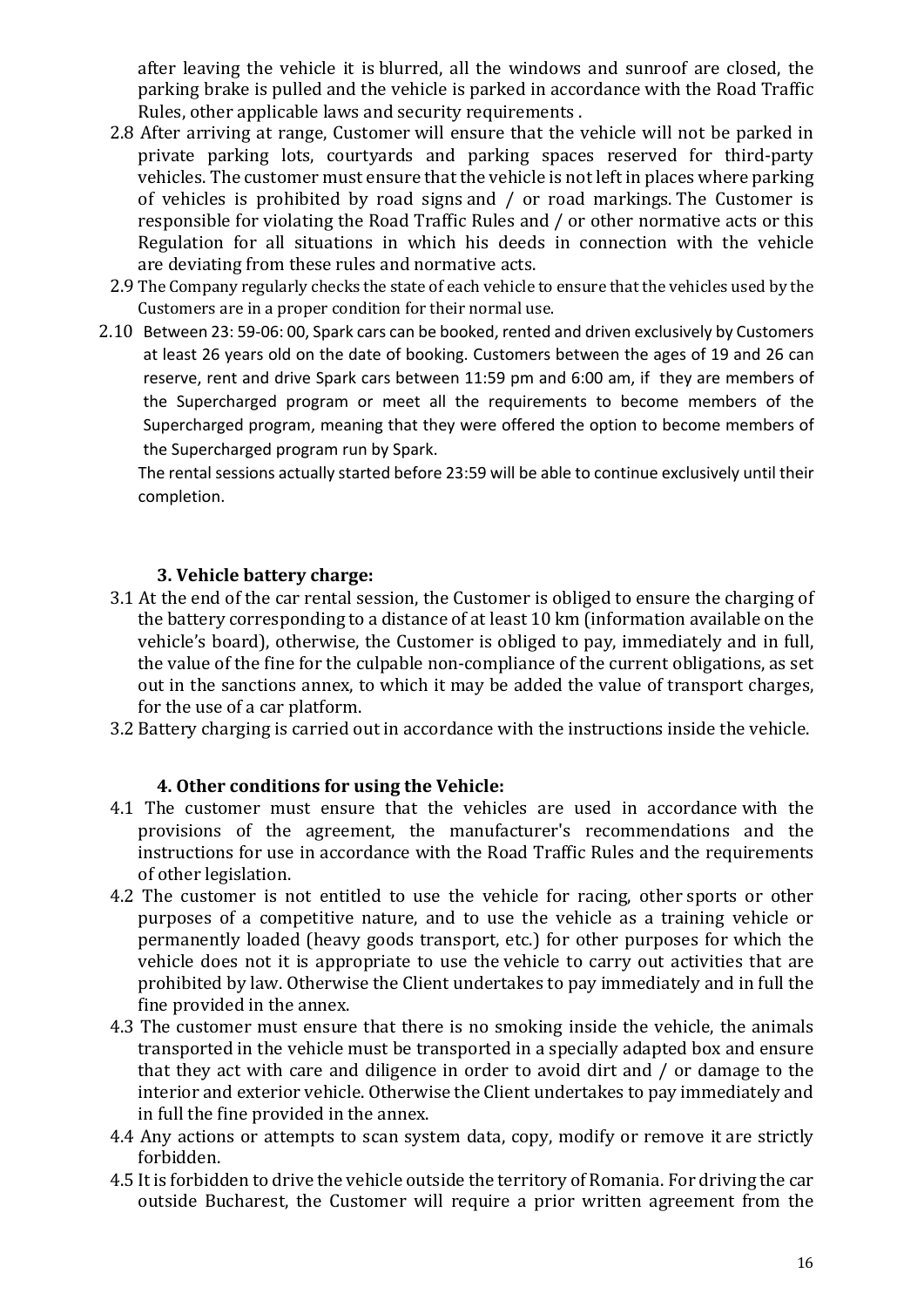after leaving the vehicle it is blurred, all the windows and sunroof are closed, the parking brake is pulled and the vehicle is parked in accordance with the Road Traffic Rules, other applicable laws and security requirements.

- 2.8 After arriving at range, Customer will ensure that the vehicle will not be parked in private parking lots, courtyards and parking spaces reserved for third-party vehicles. The customer must ensure that the vehicle is not left in places where parking of vehicles is prohibited by road signs and  $/$  or road markings. The Customer is responsible for violating the Road Traffic Rules and / or other normative acts or this Regulation for all situations in which his deeds in connection with the vehicle are deviating from these rules and normative acts.
- 2.9 The Company regularly checks the state of each vehicle to ensure that the vehicles used by the Customers are in a proper condition for their normal use.
- 2.10 Between 23: 59-06: 00, Spark cars can be booked, rented and driven exclusively by Customers at least 26 years old on the date of booking. Customers between the ages of 19 and 26 can reserve, rent and drive Spark cars between 11:59 pm and 6:00 am, if they are members of the Supercharged program or meet all the requirements to become members of the Supercharged program, meaning that they were offered the option to become members of the Supercharged program run by Spark.

The rental sessions actually started before 23:59 will be able to continue exclusively until their completion.

### **3. Vehicle battery charge:**

- 3.1 At the end of the car rental session, the Customer is obliged to ensure the charging of the battery corresponding to a distance of at least 10 km (information available on the vehicle's board), otherwise, the Customer is obliged to pay, immediately and in full, the value of the fine for the culpable non-compliance of the current obligations, as set out in the sanctions annex, to which it may be added the value of transport charges, for the use of a car platform.
- 3.2 Battery charging is carried out in accordance with the instructions inside the vehicle.

### **4. Other conditions for using the Vehicle:**

- 4.1 The customer must ensure that the vehicles are used in accordance with the provisions of the agreement, the manufacturer's recommendations and the instructions for use in accordance with the Road Traffic Rules and the requirements of other legislation.
- 4.2 The customer is not entitled to use the vehicle for racing, other sports or other purposes of a competitive nature, and to use the vehicle as a training vehicle or permanently loaded (heavy goods transport, etc.) for other purposes for which the vehicle does not it is appropriate to use the vehicle to carry out activities that are prohibited by law. Otherwise the Client undertakes to pay immediately and in full the fine provided in the annex.
- 4.3 The customer must ensure that there is no smoking inside the vehicle, the animals transported in the vehicle must be transported in a specially adapted box and ensure that they act with care and diligence in order to avoid dirt and  $/$  or damage to the interior and exterior vehicle. Otherwise the Client undertakes to pay immediately and in full the fine provided in the annex.
- 4.4 Any actions or attempts to scan system data, copy, modify or remove it are strictly forbidden.
- 4.5 It is forbidden to drive the vehicle outside the territory of Romania. For driving the car outside Bucharest, the Customer will require a prior written agreement from the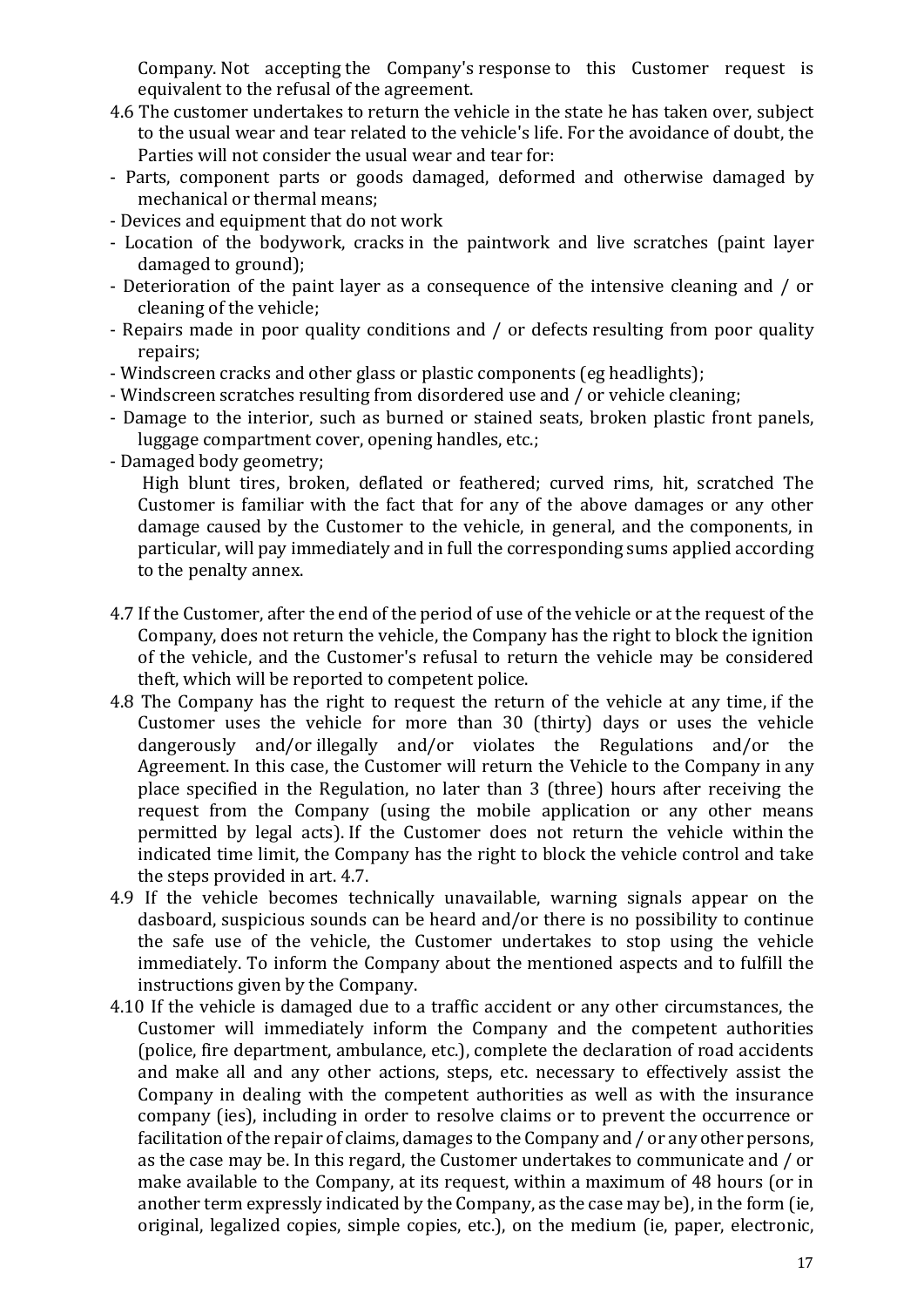Company. Not accepting the Company's response to this Customer request is equivalent to the refusal of the agreement.

- 4.6 The customer undertakes to return the vehicle in the state he has taken over, subject to the usual wear and tear related to the vehicle's life. For the avoidance of doubt, the Parties will not consider the usual wear and tear for:
- Parts, component parts or goods damaged, deformed and otherwise damaged by mechanical or thermal means;
- Devices and equipment that do not work
- Location of the bodywork, cracks in the paintwork and live scratches (paint layer damaged to ground):
- Deterioration of the paint layer as a consequence of the intensive cleaning and / or cleaning of the vehicle;
- Repairs made in poor quality conditions and / or defects resulting from poor quality repairs;
- Windscreen cracks and other glass or plastic components (eg headlights);
- Windscreen scratches resulting from disordered use and / or vehicle cleaning;
- Damage to the interior, such as burned or stained seats, broken plastic front panels, luggage compartment cover, opening handles, etc.;
- Damaged body geometry:

High blunt tires, broken, deflated or feathered; curved rims, hit, scratched The Customer is familiar with the fact that for any of the above damages or any other damage caused by the Customer to the vehicle, in general, and the components, in particular, will pay immediately and in full the corresponding sums applied according to the penalty annex.

- 4.7 If the Customer, after the end of the period of use of the vehicle or at the request of the Company, does not return the vehicle, the Company has the right to block the ignition of the vehicle, and the Customer's refusal to return the vehicle may be considered theft, which will be reported to competent police.
- 4.8 The Company has the right to request the return of the vehicle at any time, if the Customer uses the vehicle for more than 30 (thirty) days or uses the vehicle dangerously and/or illegally and/or violates the Regulations and/or the Agreement. In this case, the Customer will return the Vehicle to the Company in any place specified in the Regulation, no later than 3 (three) hours after receiving the  $r_{\text{equest}}$  from the Company (using the mobile application or any other means permitted by legal acts). If the Customer does not return the vehicle within the indicated time limit, the Company has the right to block the vehicle control and take the steps provided in art. 4.7.
- 4.9 If the vehicle becomes technically unavailable, warning signals appear on the dasboard, suspicious sounds can be heard and/or there is no possibility to continue the safe use of the vehicle, the Customer undertakes to stop using the vehicle immediately. To inform the Company about the mentioned aspects and to fulfill the instructions given by the Company.
- 4.10 If the vehicle is damaged due to a traffic accident or any other circumstances, the Customer will immediately inform the Company and the competent authorities (police, fire department, ambulance, etc.), complete the declaration of road accidents and make all and any other actions, steps, etc. necessary to effectively assist the Company in dealing with the competent authorities as well as with the insurance company (ies), including in order to resolve claims or to prevent the occurrence or facilitation of the repair of claims, damages to the Company and / or any other persons, as the case may be. In this regard, the Customer undertakes to communicate and / or make available to the Company, at its request, within a maximum of 48 hours (or in another term expressly indicated by the Company, as the case may be), in the form (ie, original, legalized copies, simple copies, etc.), on the medium (ie, paper, electronic,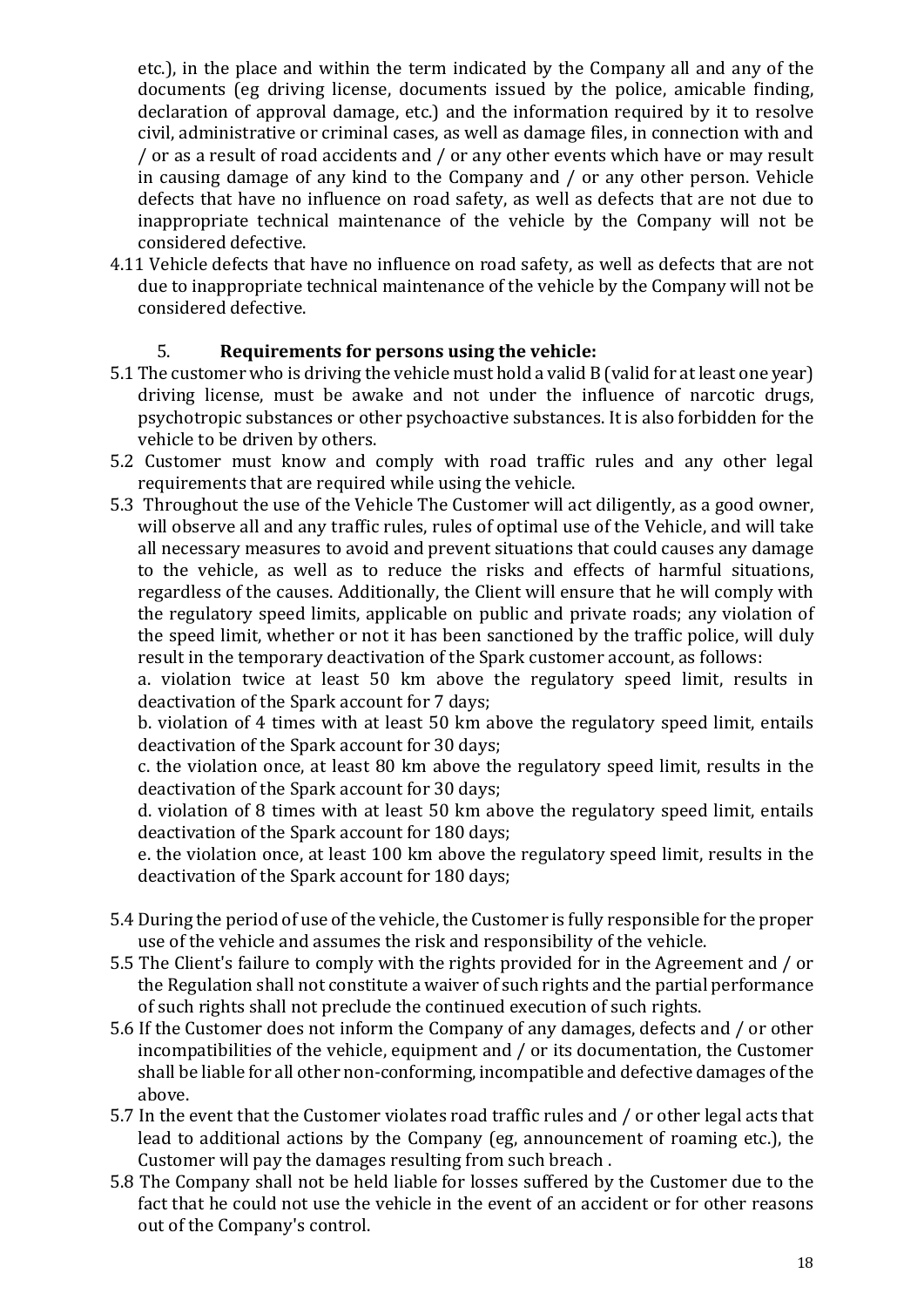etc.), in the place and within the term indicated by the Company all and any of the documents (eg driving license, documents issued by the police, amicable finding, declaration of approval damage, etc.) and the information required by it to resolve civil, administrative or criminal cases, as well as damage files, in connection with and / or as a result of road accidents and / or any other events which have or may result in causing damage of any kind to the Company and  $/$  or any other person. Vehicle defects that have no influence on road safety, as well as defects that are not due to inappropriate technical maintenance of the vehicle by the Company will not be considered defective.

4.11 Vehicle defects that have no influence on road safety, as well as defects that are not due to inappropriate technical maintenance of the vehicle by the Company will not be considered defective.

# 5. **Requirements for persons using the vehicle:**

- 5.1 The customer who is driving the vehicle must hold a valid B (valid for at least one year) driving license, must be awake and not under the influence of narcotic drugs, psychotropic substances or other psychoactive substances. It is also forbidden for the vehicle to be driven by others.
- 5.2 Customer must know and comply with road traffic rules and any other legal requirements that are required while using the vehicle.
- 5.3 Throughout the use of the Vehicle The Customer will act diligently, as a good owner, will observe all and any traffic rules, rules of optimal use of the Vehicle, and will take all necessary measures to avoid and prevent situations that could causes any damage to the vehicle, as well as to reduce the risks and effects of harmful situations, regardless of the causes. Additionally, the Client will ensure that he will comply with the regulatory speed limits, applicable on public and private roads; any violation of the speed limit, whether or not it has been sanctioned by the traffic police, will duly result in the temporary deactivation of the Spark customer account, as follows:

a. violation twice at least 50 km above the regulatory speed limit, results in deactivation of the Spark account for 7 days;

b. violation of 4 times with at least 50 km above the regulatory speed limit, entails deactivation of the Spark account for 30 days:

c. the violation once, at least 80 km above the regulatory speed limit, results in the deactivation of the Spark account for 30 days;

d. violation of 8 times with at least 50 km above the regulatory speed limit, entails deactivation of the Spark account for 180 days;

e. the violation once, at least 100 km above the regulatory speed limit, results in the deactivation of the Spark account for 180 days;

- 5.4 During the period of use of the vehicle, the Customer is fully responsible for the proper use of the vehicle and assumes the risk and responsibility of the vehicle.
- 5.5 The Client's failure to comply with the rights provided for in the Agreement and / or the Regulation shall not constitute a waiver of such rights and the partial performance of such rights shall not preclude the continued execution of such rights.
- 5.6 If the Customer does not inform the Company of any damages, defects and / or other incompatibilities of the vehicle, equipment and  $/$  or its documentation, the Customer shall be liable for all other non-conforming, incompatible and defective damages of the above.
- 5.7 In the event that the Customer violates road traffic rules and / or other legal acts that lead to additional actions by the Company (eg, announcement of roaming etc.), the Customer will pay the damages resulting from such breach.
- 5.8 The Company shall not be held liable for losses suffered by the Customer due to the fact that he could not use the vehicle in the event of an accident or for other reasons out of the Company's control.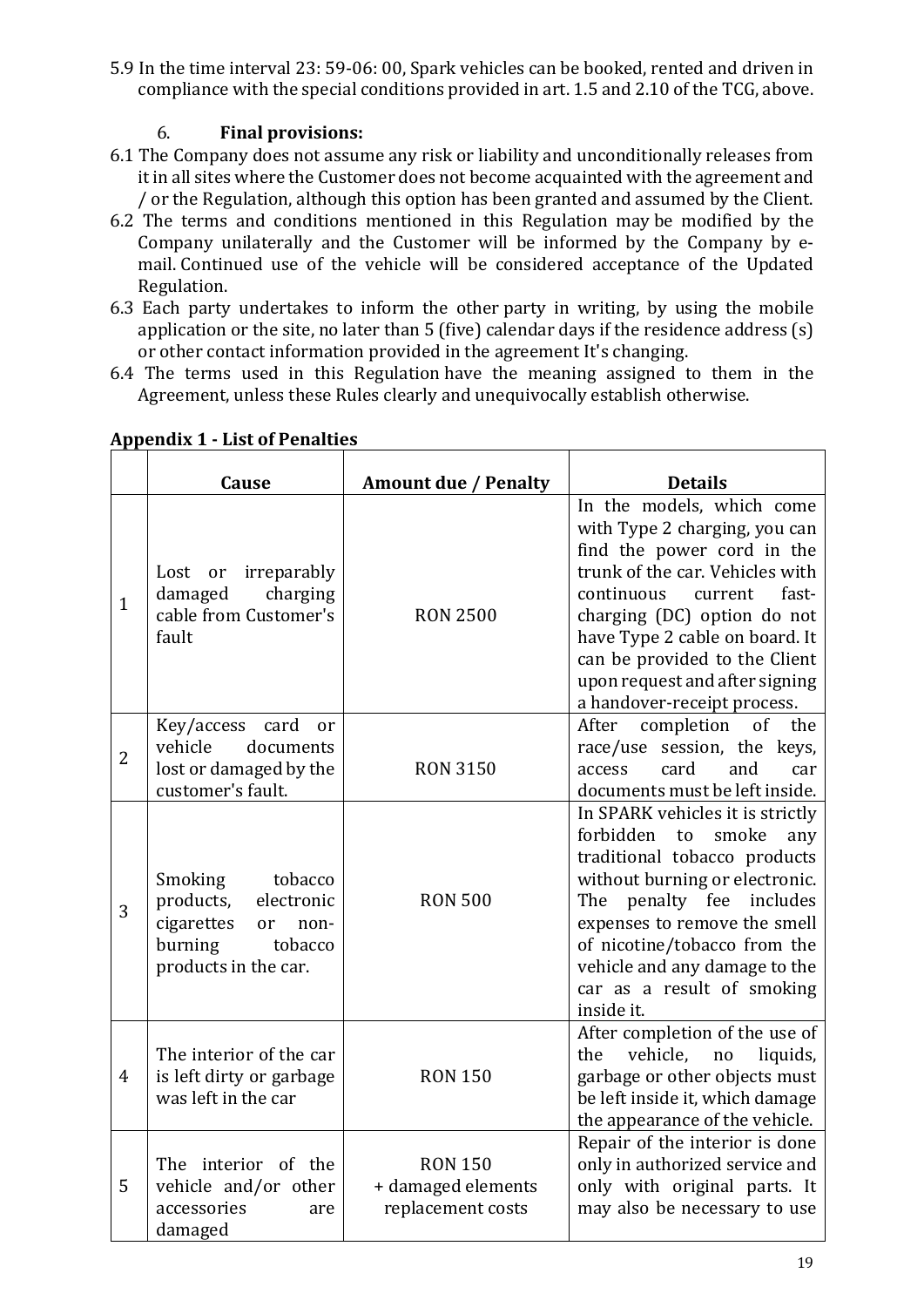5.9 In the time interval 23: 59-06: 00, Spark vehicles can be booked, rented and driven in compliance with the special conditions provided in art. 1.5 and 2.10 of the TCG, above.

# 6. **Final provisions:**

- 6.1 The Company does not assume any risk or liability and unconditionally releases from it in all sites where the Customer does not become acquainted with the agreement and / or the Regulation, although this option has been granted and assumed by the Client.
- 6.2 The terms and conditions mentioned in this Regulation may be modified by the Company unilaterally and the Customer will be informed by the Company by  $e$ mail. Continued use of the vehicle will be considered acceptance of the Updated Regulation.
- 6.3 Each party undertakes to inform the other party in writing, by using the mobile application or the site, no later than  $5$  (five) calendar days if the residence address  $(s)$ or other contact information provided in the agreement It's changing.
- 6.4 The terms used in this Regulation have the meaning assigned to them in the Agreement, unless these Rules clearly and unequivocally establish otherwise.

|                | Cause                                                                                                                              | <b>Amount due / Penalty</b>                               | <b>Details</b>                                                                                                                                                                                                                                                                                                                   |
|----------------|------------------------------------------------------------------------------------------------------------------------------------|-----------------------------------------------------------|----------------------------------------------------------------------------------------------------------------------------------------------------------------------------------------------------------------------------------------------------------------------------------------------------------------------------------|
| $\mathbf{1}$   | irreparably<br>Lost<br>or<br>damaged<br>charging<br>cable from Customer's<br>fault                                                 | <b>RON 2500</b>                                           | In the models, which come<br>with Type 2 charging, you can<br>find the power cord in the<br>trunk of the car. Vehicles with<br>continuous<br>fast-<br>current<br>charging (DC) option do not<br>have Type 2 cable on board. It<br>can be provided to the Client<br>upon request and after signing<br>a handover-receipt process. |
| $\overline{2}$ | Key/access card<br>or<br>vehicle<br>documents<br>lost or damaged by the<br>customer's fault.                                       | <b>RON 3150</b>                                           | completion<br>of<br>After<br>the<br>race/use session, the keys,<br>card<br>and<br>access<br>car<br>documents must be left inside.                                                                                                                                                                                                |
| 3              | Smoking<br>tobacco<br>products,<br>electronic<br>cigarettes<br><sub>or</sub><br>non-<br>burning<br>tobacco<br>products in the car. | <b>RON 500</b>                                            | In SPARK vehicles it is strictly<br>forbidden<br>smoke<br>to<br>any<br>traditional tobacco products<br>without burning or electronic.<br>The penalty fee includes<br>expenses to remove the smell<br>of nicotine/tobacco from the<br>vehicle and any damage to the<br>car as a result of smoking<br>inside it.                   |
| 4              | The interior of the car<br>is left dirty or garbage<br>was left in the car                                                         | <b>RON 150</b>                                            | After completion of the use of<br>vehicle,<br>liquids,<br>the<br>no<br>garbage or other objects must<br>be left inside it, which damage<br>the appearance of the vehicle.                                                                                                                                                        |
| 5              | The interior of the<br>vehicle and/or other<br>accessories<br>are<br>damaged                                                       | <b>RON 150</b><br>+ damaged elements<br>replacement costs | Repair of the interior is done<br>only in authorized service and<br>only with original parts. It<br>may also be necessary to use                                                                                                                                                                                                 |

# **Appendix 1 - List of Penalties**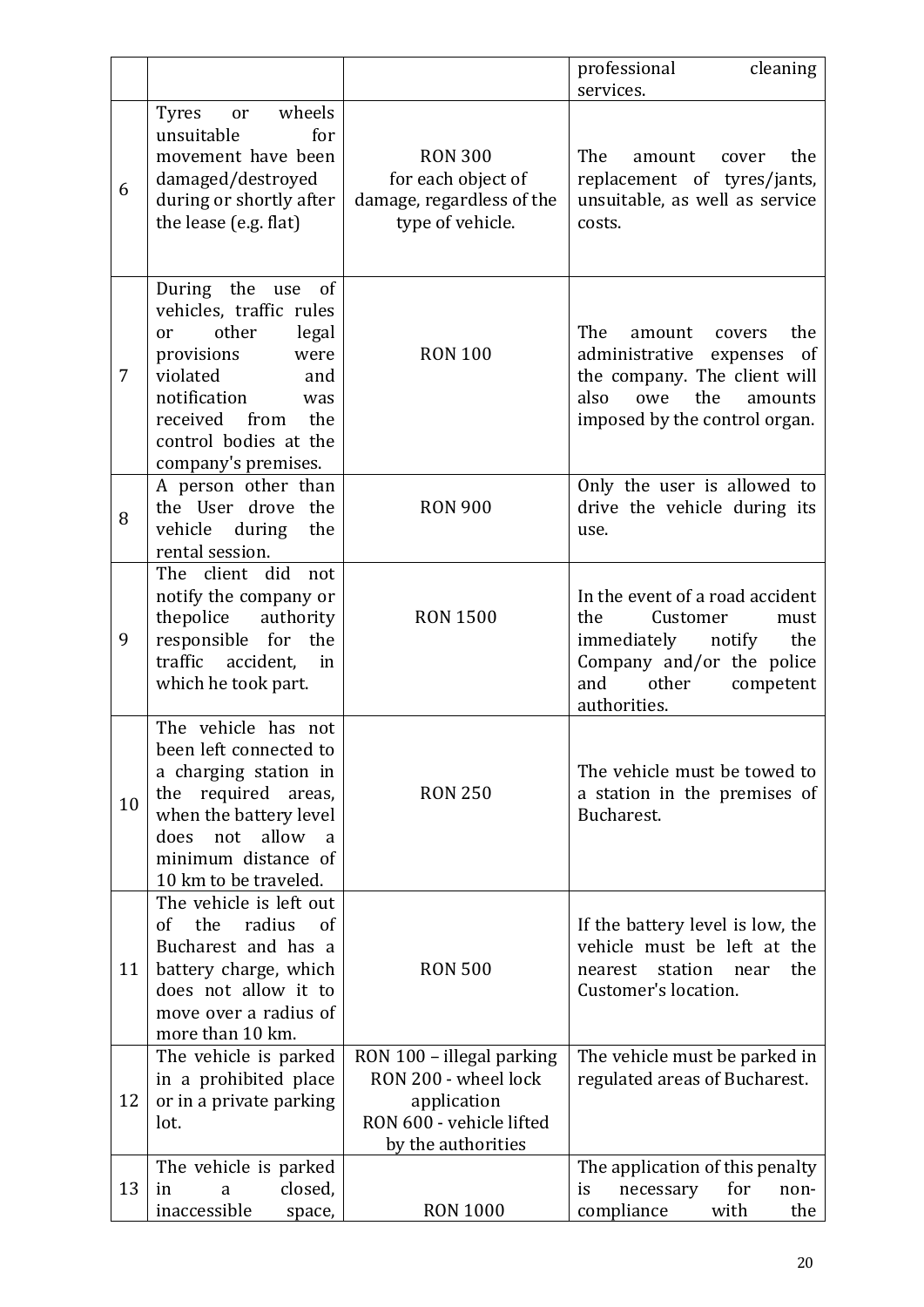|                |                                                                                                                                                                                                                    |                                                                                                                    | professional<br>cleaning<br>services.                                                                                                                                |
|----------------|--------------------------------------------------------------------------------------------------------------------------------------------------------------------------------------------------------------------|--------------------------------------------------------------------------------------------------------------------|----------------------------------------------------------------------------------------------------------------------------------------------------------------------|
| 6              | wheels<br><b>Tyres</b><br>or<br>unsuitable<br>for<br>movement have been<br>damaged/destroyed<br>during or shortly after<br>the lease (e.g. flat)                                                                   | <b>RON 300</b><br>for each object of<br>damage, regardless of the<br>type of vehicle.                              | The<br>the<br>amount<br>cover<br>replacement of tyres/jants,<br>unsuitable, as well as service<br>costs.                                                             |
| $\overline{7}$ | During the use<br>of<br>vehicles, traffic rules<br>other<br>legal<br>or<br>provisions<br>were<br>violated<br>and<br>notification<br>was<br>received<br>from<br>the<br>control bodies at the<br>company's premises. | <b>RON 100</b>                                                                                                     | The<br>the<br>amount covers<br>administrative<br>expenses of<br>the company. The client will<br>also<br>the<br>owe<br>amounts<br>imposed by the control organ.       |
| 8              | A person other than<br>the User drove the<br>vehicle during<br>the<br>rental session.                                                                                                                              | <b>RON 900</b>                                                                                                     | Only the user is allowed to<br>drive the vehicle during its<br>use.                                                                                                  |
| 9              | The client did not<br>notify the company or<br>thepolice<br>authority<br>responsible for the<br>traffic accident,<br>in<br>which he took part.                                                                     | <b>RON 1500</b>                                                                                                    | In the event of a road accident<br>Customer<br>the<br>must<br>immediately<br>the<br>notify<br>Company and/or the police<br>other<br>and<br>competent<br>authorities. |
| 10             | The vehicle has not<br>been left connected to<br>a charging station in<br>required<br>the<br>areas,<br>when the battery level<br>allow<br>does<br>not<br>a<br>minimum distance of<br>10 km to be traveled.         | <b>RON 250</b>                                                                                                     | The vehicle must be towed to<br>a station in the premises of<br>Bucharest.                                                                                           |
| 11             | The vehicle is left out<br>the<br>radius<br>of<br><sub>of</sub><br>Bucharest and has a<br>battery charge, which<br>does not allow it to<br>move over a radius of<br>more than 10 km.                               | <b>RON 500</b>                                                                                                     | If the battery level is low, the<br>vehicle must be left at the<br>station<br>the<br>nearest<br>near<br>Customer's location.                                         |
| 12             | The vehicle is parked<br>in a prohibited place<br>or in a private parking<br>lot.                                                                                                                                  | RON 100 - illegal parking<br>RON 200 - wheel lock<br>application<br>RON 600 - vehicle lifted<br>by the authorities | The vehicle must be parked in<br>regulated areas of Bucharest.                                                                                                       |
| 13             | The vehicle is parked<br>closed,<br>in<br>a<br>inaccessible<br>space,                                                                                                                                              | <b>RON 1000</b>                                                                                                    | The application of this penalty<br>for<br>necessary<br>is<br>non-<br>compliance<br>with<br>the                                                                       |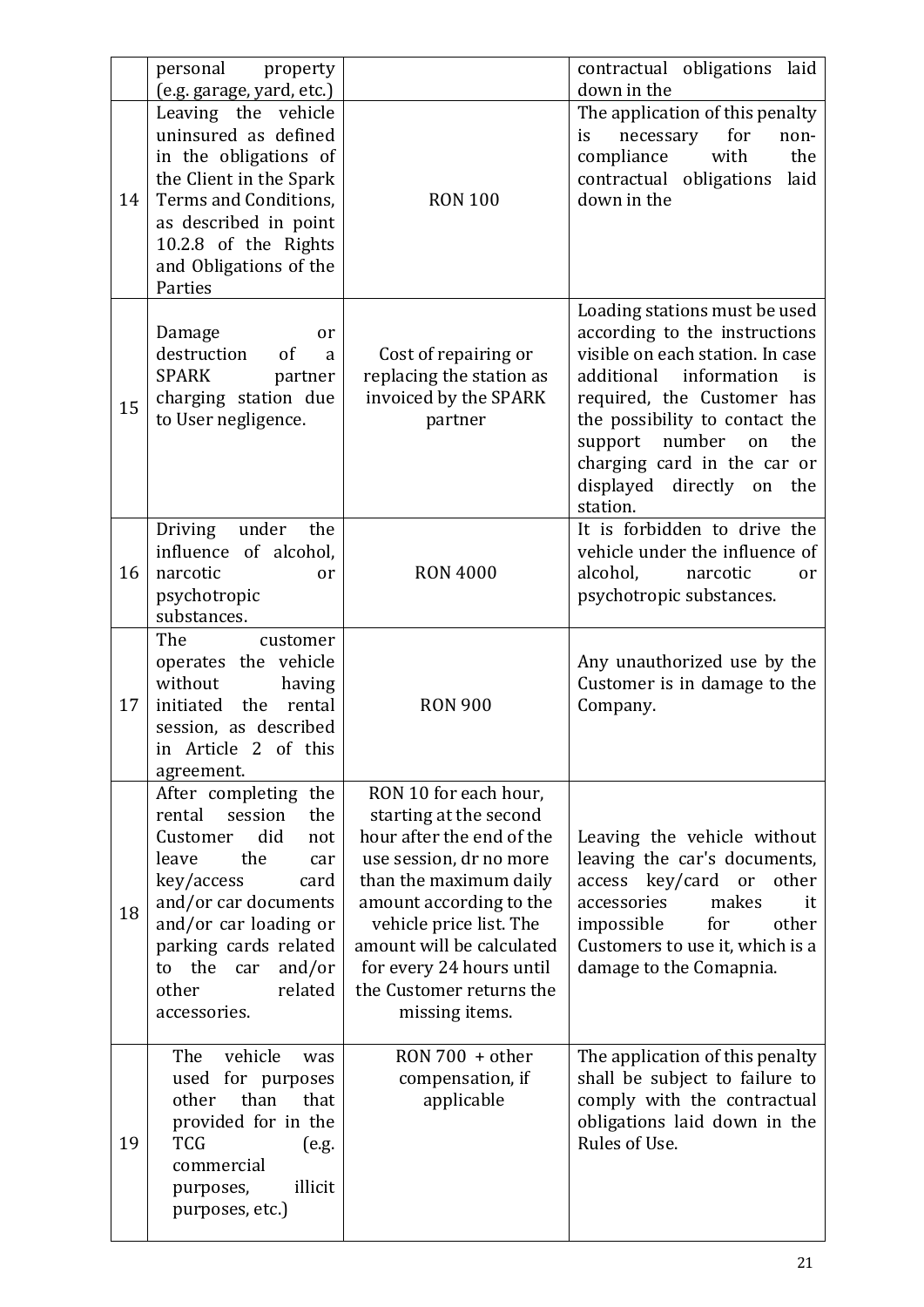|    | personal<br>property<br>(e.g. garage, yard, etc.)                                                                                                                                                                                                             |                                                                                                                                                                                                                                                                                                | contractual obligations laid<br>down in the                                                                                                                                                                                                                                                                           |
|----|---------------------------------------------------------------------------------------------------------------------------------------------------------------------------------------------------------------------------------------------------------------|------------------------------------------------------------------------------------------------------------------------------------------------------------------------------------------------------------------------------------------------------------------------------------------------|-----------------------------------------------------------------------------------------------------------------------------------------------------------------------------------------------------------------------------------------------------------------------------------------------------------------------|
| 14 | Leaving the vehicle<br>uninsured as defined<br>in the obligations of<br>the Client in the Spark<br>Terms and Conditions,<br>as described in point<br>10.2.8 of the Rights<br>and Obligations of the<br>Parties                                                | <b>RON 100</b>                                                                                                                                                                                                                                                                                 | The application of this penalty<br>for<br>is<br>necessary<br>non-<br>with<br>compliance<br>the<br>contractual<br>obligations<br>laid<br>down in the                                                                                                                                                                   |
| 15 | Damage<br>or<br>destruction<br>of<br>a<br><b>SPARK</b><br>partner<br>charging station due<br>to User negligence.                                                                                                                                              | Cost of repairing or<br>replacing the station as<br>invoiced by the SPARK<br>partner                                                                                                                                                                                                           | Loading stations must be used<br>according to the instructions<br>visible on each station. In case<br>information<br>additional<br>is<br>required, the Customer has<br>the possibility to contact the<br>number<br>support<br>the<br>on<br>charging card in the car or<br>displayed<br>directly on<br>the<br>station. |
| 16 | under<br>the<br>Driving<br>influence of alcohol,<br>narcotic<br>or<br>psychotropic<br>substances.                                                                                                                                                             | <b>RON 4000</b>                                                                                                                                                                                                                                                                                | It is forbidden to drive the<br>vehicle under the influence of<br>alcohol,<br>narcotic<br>or<br>psychotropic substances.                                                                                                                                                                                              |
| 17 | The<br>customer<br>operates the vehicle<br>without<br>having<br>initiated the<br>rental<br>session, as described<br>in Article 2 of this<br>agreement.                                                                                                        | <b>RON 900</b>                                                                                                                                                                                                                                                                                 | Any unauthorized use by the<br>Customer is in damage to the<br>Company.                                                                                                                                                                                                                                               |
| 18 | After completing the<br>rental<br>session<br>the<br>did<br>Customer<br>not<br>the<br>leave<br>car<br>key/access<br>card<br>and/or car documents<br>and/or car loading or<br>parking cards related<br>to the car<br>and/or<br>related<br>other<br>accessories. | RON 10 for each hour,<br>starting at the second<br>hour after the end of the<br>use session, dr no more<br>than the maximum daily<br>amount according to the<br>vehicle price list. The<br>amount will be calculated<br>for every 24 hours until<br>the Customer returns the<br>missing items. | Leaving the vehicle without<br>leaving the car's documents,<br>access key/card or<br>other<br>accessories<br>makes<br>it<br>impossible<br>other<br>for<br>Customers to use it, which is a<br>damage to the Comapnia.                                                                                                  |
| 19 | vehicle<br>The<br>was<br>used for purposes<br>than<br>other<br>that<br>provided for in the<br><b>TCG</b><br>(e.g.<br>commercial<br>illicit<br>purposes,<br>purposes, etc.)                                                                                    | $RON 700 + other$<br>compensation, if<br>applicable                                                                                                                                                                                                                                            | The application of this penalty<br>shall be subject to failure to<br>comply with the contractual<br>obligations laid down in the<br>Rules of Use.                                                                                                                                                                     |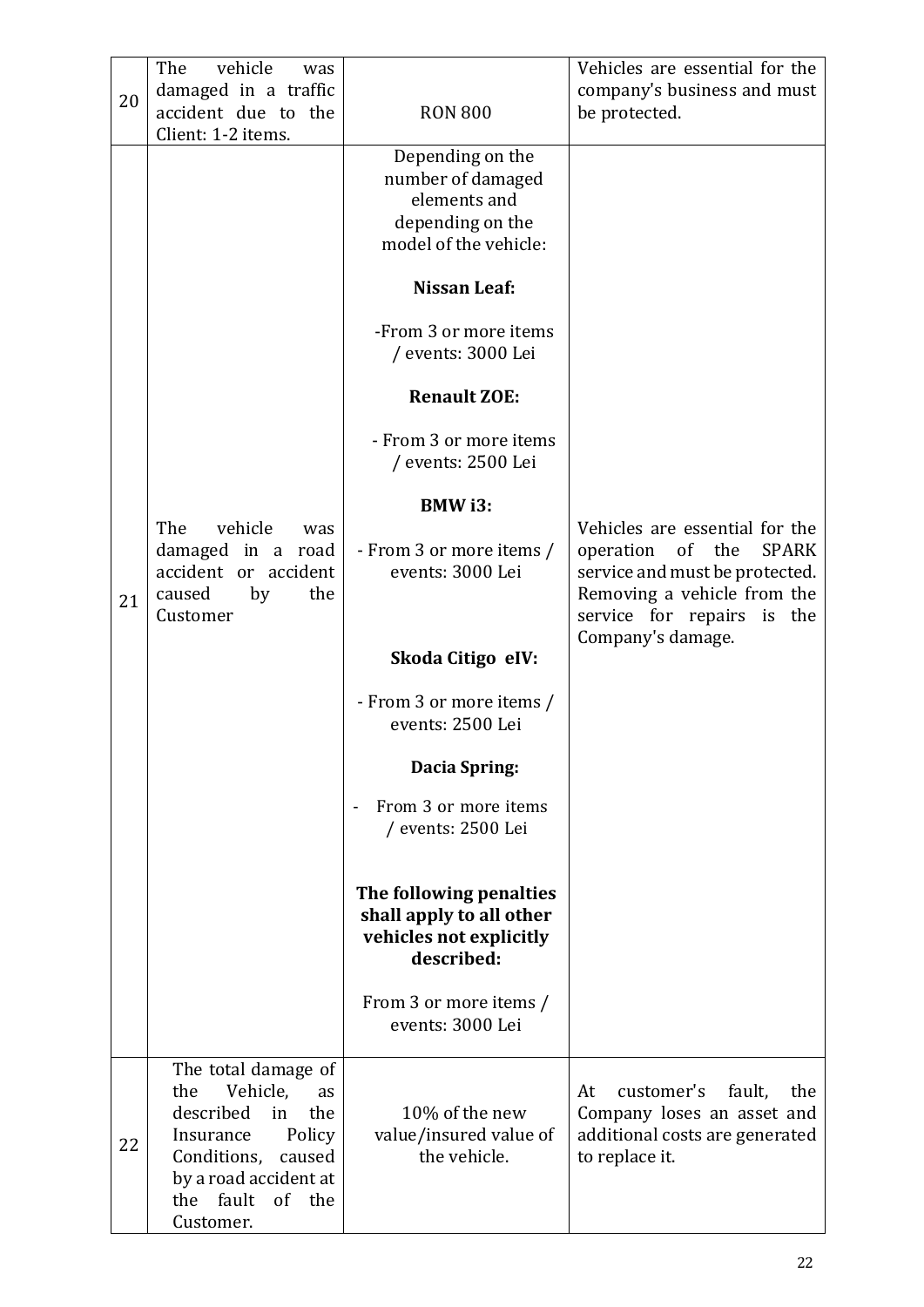| 20 | The<br>vehicle<br>was<br>damaged in a traffic<br>accident due to the<br>Client: 1-2 items.                                                                                                       | <b>RON 800</b>                                                                                     | Vehicles are essential for the<br>company's business and must<br>be protected.                                                                                       |
|----|--------------------------------------------------------------------------------------------------------------------------------------------------------------------------------------------------|----------------------------------------------------------------------------------------------------|----------------------------------------------------------------------------------------------------------------------------------------------------------------------|
|    |                                                                                                                                                                                                  | Depending on the<br>number of damaged<br>elements and<br>depending on the<br>model of the vehicle: |                                                                                                                                                                      |
|    |                                                                                                                                                                                                  | <b>Nissan Leaf:</b>                                                                                |                                                                                                                                                                      |
|    |                                                                                                                                                                                                  | -From 3 or more items<br>/ events: 3000 Lei                                                        |                                                                                                                                                                      |
|    |                                                                                                                                                                                                  | <b>Renault ZOE:</b>                                                                                |                                                                                                                                                                      |
|    |                                                                                                                                                                                                  | - From 3 or more items<br>/ events: 2500 Lei                                                       |                                                                                                                                                                      |
|    |                                                                                                                                                                                                  | <b>BMW</b> i3:                                                                                     |                                                                                                                                                                      |
| 21 | The<br>vehicle<br>was<br>damaged in a road<br>accident or accident<br>caused<br>by<br>the<br>Customer                                                                                            | - From 3 or more items /<br>events: 3000 Lei                                                       | Vehicles are essential for the<br>of the<br><b>SPARK</b><br>operation<br>service and must be protected.<br>Removing a vehicle from the<br>service for repairs is the |
|    |                                                                                                                                                                                                  | Skoda Citigo eIV:                                                                                  | Company's damage.                                                                                                                                                    |
|    |                                                                                                                                                                                                  | - From 3 or more items /<br>events: 2500 Lei                                                       |                                                                                                                                                                      |
|    |                                                                                                                                                                                                  | Dacia Spring:                                                                                      |                                                                                                                                                                      |
|    |                                                                                                                                                                                                  | From 3 or more items<br>/ events: 2500 Lei                                                         |                                                                                                                                                                      |
|    |                                                                                                                                                                                                  | The following penalties<br>shall apply to all other<br>vehicles not explicitly<br>described:       |                                                                                                                                                                      |
|    |                                                                                                                                                                                                  | From 3 or more items /<br>events: 3000 Lei                                                         |                                                                                                                                                                      |
| 22 | The total damage of<br>Vehicle,<br>the<br><b>as</b><br>described<br>the<br>in<br>Policy<br>Insurance<br>Conditions,<br>caused<br>by a road accident at<br>fault<br>of<br>the<br>the<br>Customer. | 10% of the new<br>value/insured value of<br>the vehicle.                                           | customer's<br>At<br>fault,<br>the<br>Company loses an asset and<br>additional costs are generated<br>to replace it.                                                  |